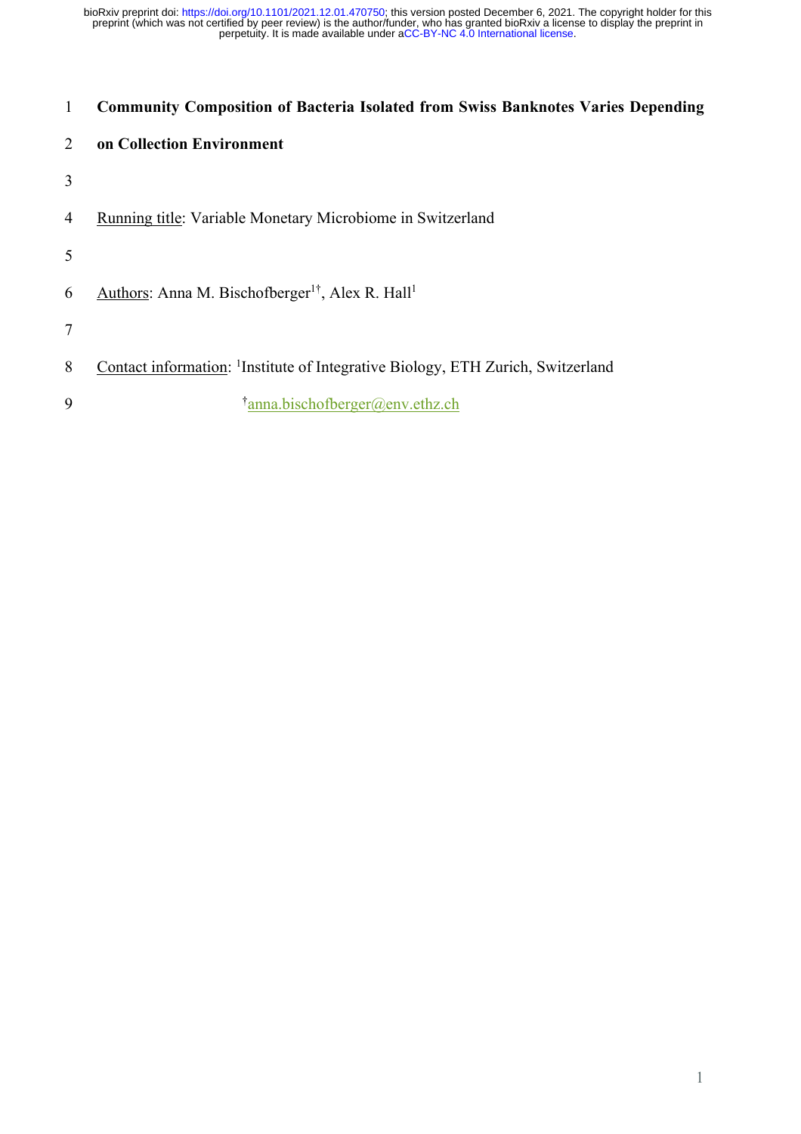# **Community Composition of Bacteria Isolated from Swiss Banknotes Varies Depending**

# **on Collection Environment**

- 
- Running title: Variable Monetary Microbiome in Switzerland
- 
- 6 Authors: Anna M. Bischofberger<sup>1†</sup>, Alex R. Hall<sup>1</sup>
- 
- 8 Contact information: <sup>1</sup>Institute of Integrative Biology, ETH Zurich, Switzerland
- † anna.bischofberger@env.ethz.ch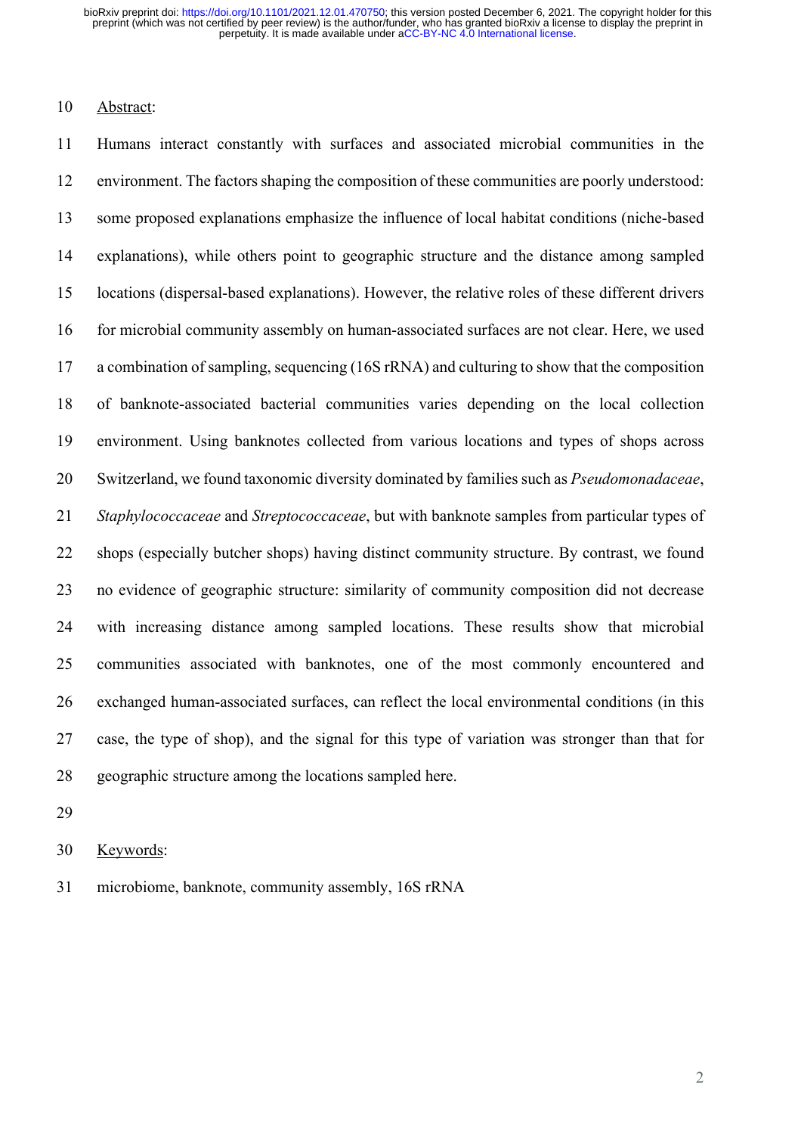### Abstract:

 Humans interact constantly with surfaces and associated microbial communities in the environment. The factors shaping the composition of these communities are poorly understood: some proposed explanations emphasize the influence of local habitat conditions (niche-based explanations), while others point to geographic structure and the distance among sampled locations (dispersal-based explanations). However, the relative roles of these different drivers 16 for microbial community assembly on human-associated surfaces are not clear. Here, we used a combination of sampling, sequencing (16S rRNA) and culturing to show that the composition of banknote-associated bacterial communities varies depending on the local collection environment. Using banknotes collected from various locations and types of shops across Switzerland, we found taxonomic diversity dominated by families such as *Pseudomonadaceae*, *Staphylococcaceae* and *Streptococcaceae*, but with banknote samples from particular types of shops (especially butcher shops) having distinct community structure. By contrast, we found no evidence of geographic structure: similarity of community composition did not decrease with increasing distance among sampled locations. These results show that microbial communities associated with banknotes, one of the most commonly encountered and exchanged human-associated surfaces, can reflect the local environmental conditions (in this case, the type of shop), and the signal for this type of variation was stronger than that for geographic structure among the locations sampled here.

Keywords:

microbiome, banknote, community assembly, 16S rRNA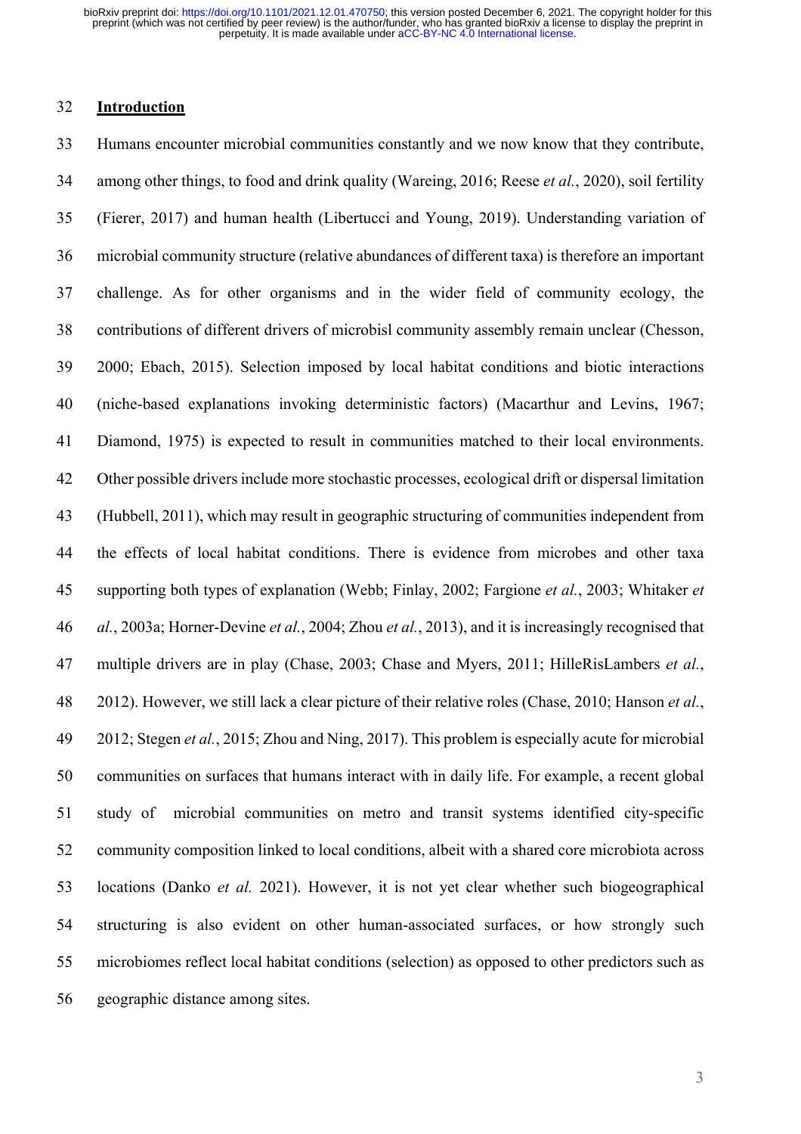### **Introduction**

 Humans encounter microbial communities constantly and we now know that they contribute, among other things, to food and drink quality (Wareing, 2016; Reese *et al.*, 2020), soil fertility (Fierer, 2017) and human health (Libertucci and Young, 2019). Understanding variation of microbial community structure (relative abundances of different taxa) is therefore an important challenge. As for other organisms and in the wider field of community ecology, the contributions of different drivers of microbisl community assembly remain unclear (Chesson, 2000; Ebach, 2015). Selection imposed by local habitat conditions and biotic interactions (niche-based explanations invoking deterministic factors) (Macarthur and Levins, 1967; Diamond, 1975) is expected to result in communities matched to their local environments. Other possible driversinclude more stochastic processes, ecological drift or dispersal limitation (Hubbell, 2011), which may result in geographic structuring of communities independent from the effects of local habitat conditions. There is evidence from microbes and other taxa supporting both types of explanation (Webb; Finlay, 2002; Fargione *et al.*, 2003; Whitaker *et al.*, 2003a; Horner-Devine *et al.*, 2004; Zhou *et al.*, 2013), and it is increasingly recognised that multiple drivers are in play (Chase, 2003; Chase and Myers, 2011; HilleRisLambers *et al.*, 2012). However, we still lack a clear picture of their relative roles (Chase, 2010; Hanson *et al.*, 2012; Stegen *et al.*, 2015; Zhou and Ning, 2017). This problem is especially acute for microbial communities on surfaces that humans interact with in daily life. For example, a recent global study of microbial communities on metro and transit systems identified city-specific community composition linked to local conditions, albeit with a shared core microbiota across locations (Danko *et al.* 2021). However, it is not yet clear whether such biogeographical structuring is also evident on other human-associated surfaces, or how strongly such microbiomes reflect local habitat conditions (selection) as opposed to other predictors such as geographic distance among sites.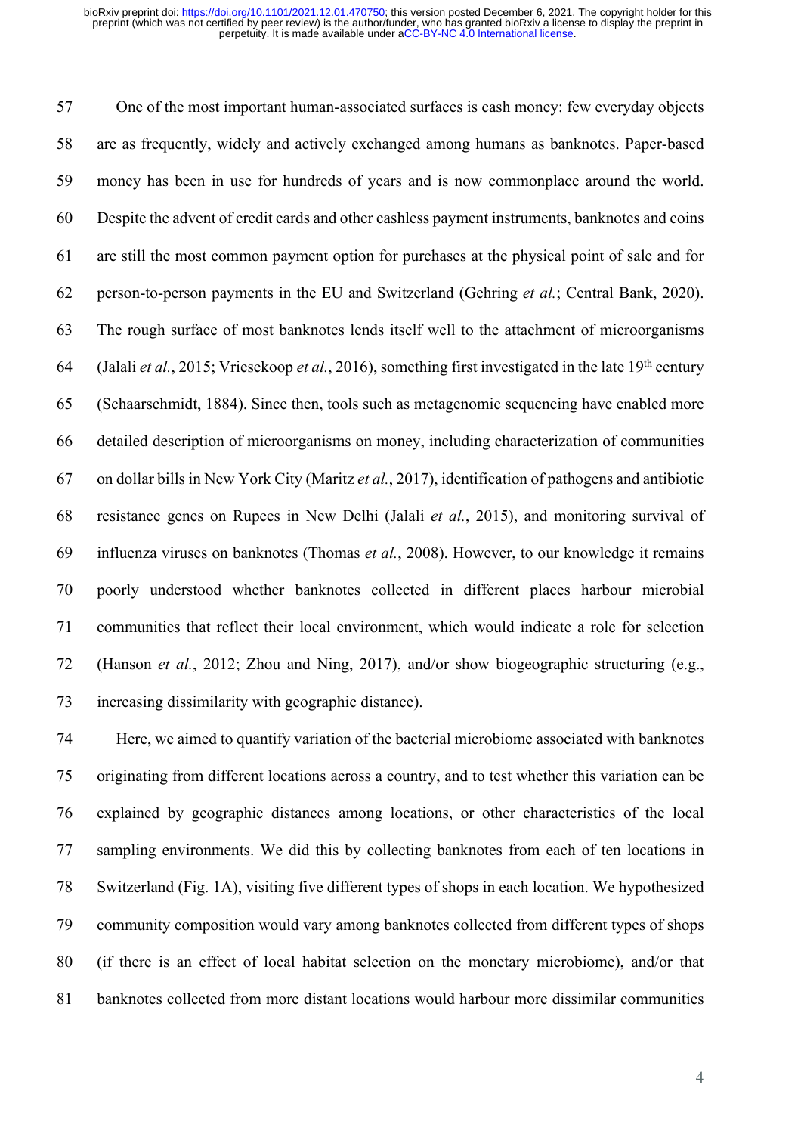One of the most important human-associated surfaces is cash money: few everyday objects are as frequently, widely and actively exchanged among humans as banknotes. Paper-based money has been in use for hundreds of years and is now commonplace around the world. Despite the advent of credit cards and other cashless payment instruments, banknotes and coins are still the most common payment option for purchases at the physical point of sale and for person-to-person payments in the EU and Switzerland (Gehring *et al.*; Central Bank, 2020). The rough surface of most banknotes lends itself well to the attachment of microorganisms 64 (Jalali *et al.*, 2015; Vriesekoop *et al.*, 2016), something first investigated in the late 19<sup>th</sup> century (Schaarschmidt, 1884). Since then, tools such as metagenomic sequencing have enabled more detailed description of microorganisms on money, including characterization of communities on dollar bills in New York City (Maritz *et al.*, 2017), identification of pathogens and antibiotic resistance genes on Rupees in New Delhi (Jalali *et al.*, 2015), and monitoring survival of influenza viruses on banknotes (Thomas *et al.*, 2008). However, to our knowledge it remains poorly understood whether banknotes collected in different places harbour microbial communities that reflect their local environment, which would indicate a role for selection (Hanson *et al.*, 2012; Zhou and Ning, 2017), and/or show biogeographic structuring (e.g., increasing dissimilarity with geographic distance).

 Here, we aimed to quantify variation of the bacterial microbiome associated with banknotes originating from different locations across a country, and to test whether this variation can be explained by geographic distances among locations, or other characteristics of the local sampling environments. We did this by collecting banknotes from each of ten locations in Switzerland (Fig. 1A), visiting five different types of shops in each location. We hypothesized community composition would vary among banknotes collected from different types of shops (if there is an effect of local habitat selection on the monetary microbiome), and/or that banknotes collected from more distant locations would harbour more dissimilar communities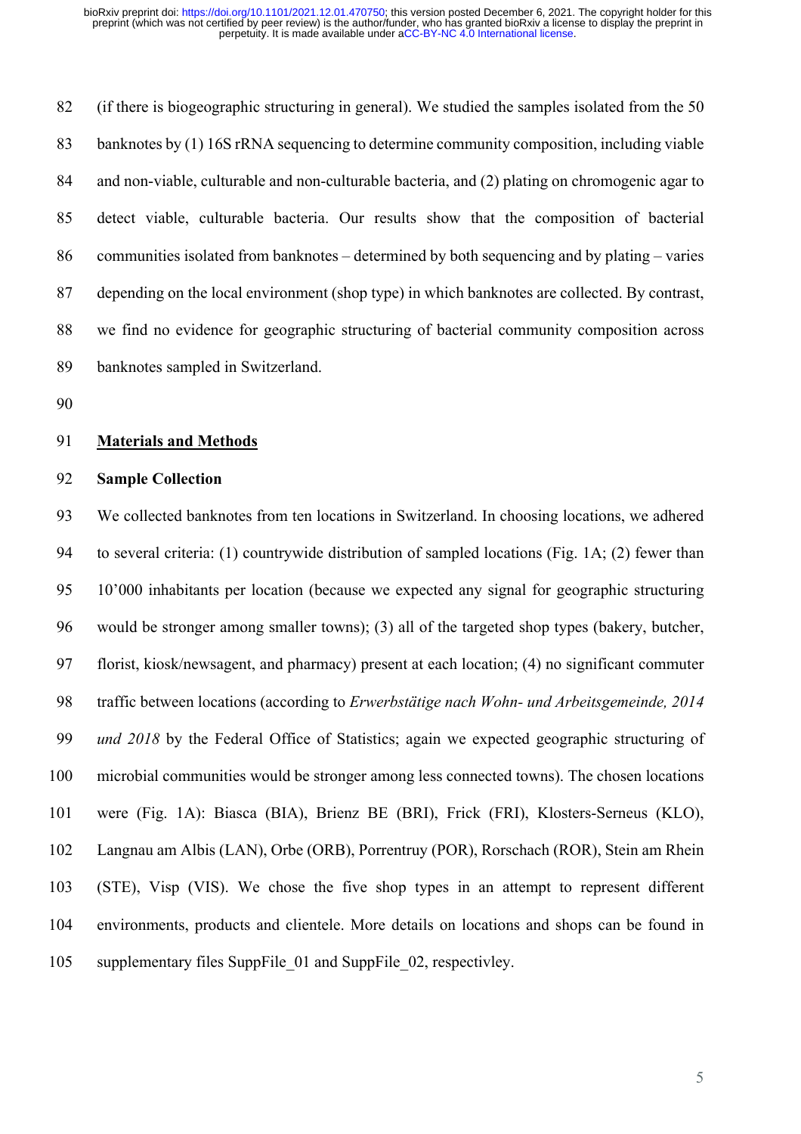(if there is biogeographic structuring in general). We studied the samples isolated from the 50 banknotes by (1) 16S rRNA sequencing to determine community composition, including viable and non-viable, culturable and non-culturable bacteria, and (2) plating on chromogenic agar to detect viable, culturable bacteria. Our results show that the composition of bacterial communities isolated from banknotes – determined by both sequencing and by plating – varies depending on the local environment (shop type) in which banknotes are collected. By contrast, we find no evidence for geographic structuring of bacterial community composition across banknotes sampled in Switzerland.

# **Materials and Methods**

## **Sample Collection**

 We collected banknotes from ten locations in Switzerland. In choosing locations, we adhered to several criteria: (1) countrywide distribution of sampled locations (Fig. 1A; (2) fewer than 10'000 inhabitants per location (because we expected any signal for geographic structuring would be stronger among smaller towns); (3) all of the targeted shop types (bakery, butcher, florist, kiosk/newsagent, and pharmacy) present at each location; (4) no significant commuter traffic between locations (according to *Erwerbstätige nach Wohn- und Arbeitsgemeinde, 2014 und 2018* by the Federal Office of Statistics; again we expected geographic structuring of microbial communities would be stronger among less connected towns). The chosen locations were (Fig. 1A): Biasca (BIA), Brienz BE (BRI), Frick (FRI), Klosters-Serneus (KLO), Langnau am Albis (LAN), Orbe (ORB), Porrentruy (POR), Rorschach (ROR), Stein am Rhein (STE), Visp (VIS). We chose the five shop types in an attempt to represent different environments, products and clientele. More details on locations and shops can be found in supplementary files SuppFile\_01 and SuppFile\_02, respectivley.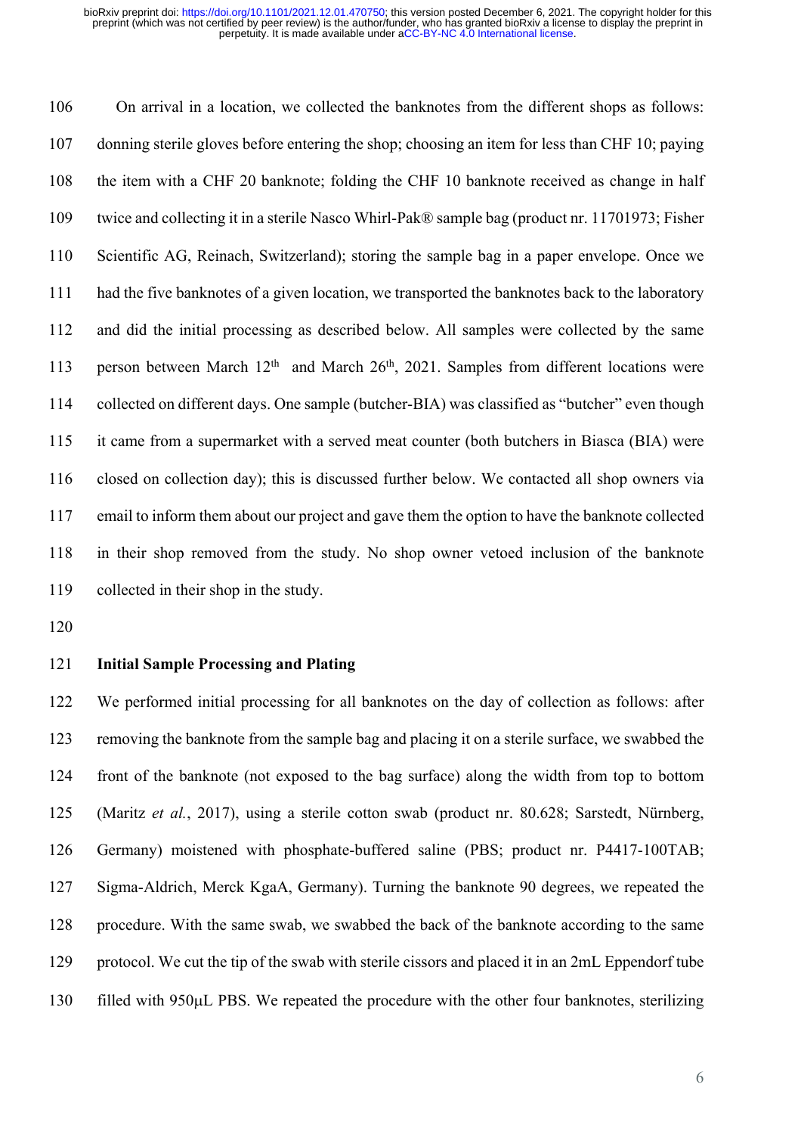On arrival in a location, we collected the banknotes from the different shops as follows: donning sterile gloves before entering the shop; choosing an item for less than CHF 10; paying the item with a CHF 20 banknote; folding the CHF 10 banknote received as change in half twice and collecting it in a sterile Nasco Whirl-Pak® sample bag (product nr. 11701973; Fisher Scientific AG, Reinach, Switzerland); storing the sample bag in a paper envelope. Once we had the five banknotes of a given location, we transported the banknotes back to the laboratory and did the initial processing as described below. All samples were collected by the same 113 person between March  $12<sup>th</sup>$  and March  $26<sup>th</sup>$ , 2021. Samples from different locations were collected on different days. One sample (butcher-BIA) was classified as "butcher" even though it came from a supermarket with a served meat counter (both butchers in Biasca (BIA) were closed on collection day); this is discussed further below. We contacted all shop owners via email to inform them about our project and gave them the option to have the banknote collected in their shop removed from the study. No shop owner vetoed inclusion of the banknote collected in their shop in the study.

#### **Initial Sample Processing and Plating**

 We performed initial processing for all banknotes on the day of collection as follows: after removing the banknote from the sample bag and placing it on a sterile surface, we swabbed the front of the banknote (not exposed to the bag surface) along the width from top to bottom (Maritz *et al.*, 2017), using a sterile cotton swab (product nr. 80.628; Sarstedt, Nürnberg, Germany) moistened with phosphate-buffered saline (PBS; product nr. P4417-100TAB; Sigma-Aldrich, Merck KgaA, Germany). Turning the banknote 90 degrees, we repeated the procedure. With the same swab, we swabbed the back of the banknote according to the same protocol. We cut the tip of the swab with sterile cissors and placed it in an 2mL Eppendorf tube filled with 950µL PBS. We repeated the procedure with the other four banknotes, sterilizing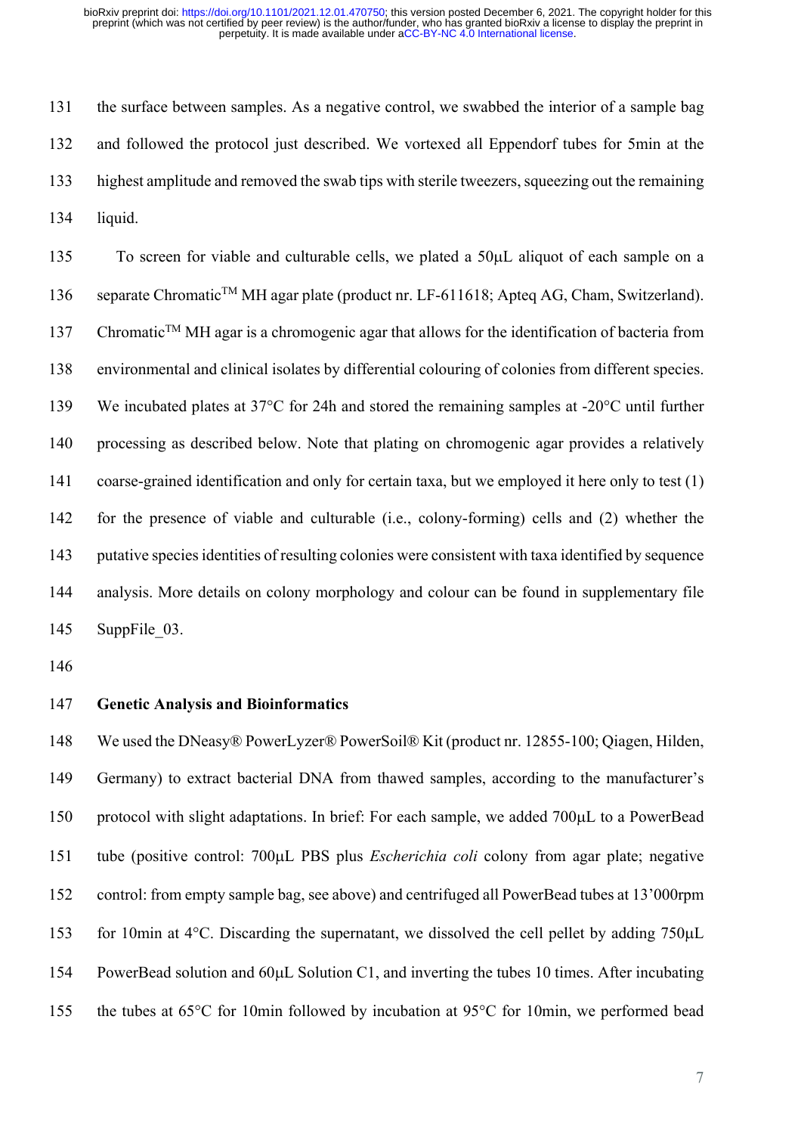the surface between samples. As a negative control, we swabbed the interior of a sample bag and followed the protocol just described. We vortexed all Eppendorf tubes for 5min at the highest amplitude and removed the swab tips with sterile tweezers, squeezing out the remaining liquid.

 To screen for viable and culturable cells, we plated a 50µL aliquot of each sample on a 136 separate Chromatic<sup>TM</sup> MH agar plate (product nr. LF-611618; Apteg AG, Cham, Switzerland). 137 Chromatic<sup>TM</sup> MH agar is a chromogenic agar that allows for the identification of bacteria from environmental and clinical isolates by differential colouring of colonies from different species. We incubated plates at 37°C for 24h and stored the remaining samples at -20°C until further processing as described below. Note that plating on chromogenic agar provides a relatively coarse-grained identification and only for certain taxa, but we employed it here only to test (1) for the presence of viable and culturable (i.e., colony-forming) cells and (2) whether the putative species identities of resulting colonies were consistent with taxa identified by sequence analysis. More details on colony morphology and colour can be found in supplementary file 145 SuppFile 03.

#### **Genetic Analysis and Bioinformatics**

 We used the DNeasy® PowerLyzer® PowerSoil® Kit (product nr. 12855-100; Qiagen, Hilden, Germany) to extract bacterial DNA from thawed samples, according to the manufacturer's protocol with slight adaptations. In brief: For each sample, we added 700µL to a PowerBead tube (positive control: 700µL PBS plus *Escherichia coli* colony from agar plate; negative control: from empty sample bag, see above) and centrifuged all PowerBead tubes at 13'000rpm for 10min at 4°C. Discarding the supernatant, we dissolved the cell pellet by adding 750µL PowerBead solution and 60µL Solution C1, and inverting the tubes 10 times. After incubating the tubes at 65°C for 10min followed by incubation at 95°C for 10min, we performed bead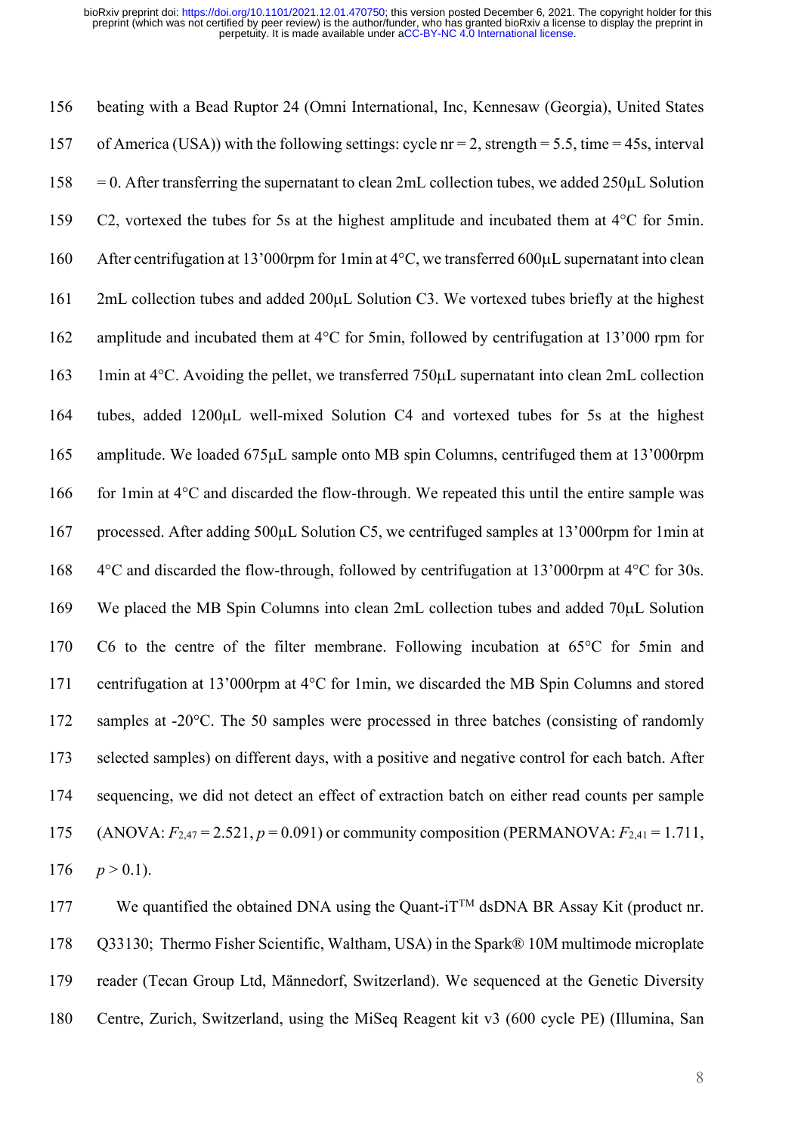beating with a Bead Ruptor 24 (Omni International, Inc, Kennesaw (Georgia), United States of America (USA)) with the following settings: cycle nr = 2, strength = 5.5, time = 45s, interval  $158 = 0$ . After transferring the supernatant to clean 2mL collection tubes, we added  $250 \mu$ L Solution C2, vortexed the tubes for 5s at the highest amplitude and incubated them at 4°C for 5min. 160 After centrifugation at 13'000rpm for 1min at 4°C, we transferred 600 $\mu$ L supernatant into clean 2mL collection tubes and added 200µL Solution C3. We vortexed tubes briefly at the highest amplitude and incubated them at 4°C for 5min, followed by centrifugation at 13'000 rpm for 1min at 4°C. Avoiding the pellet, we transferred 750µL supernatant into clean 2mL collection tubes, added 1200µL well-mixed Solution C4 and vortexed tubes for 5s at the highest amplitude. We loaded 675µL sample onto MB spin Columns, centrifuged them at 13'000rpm 166 for 1min at  $4^{\circ}$ C and discarded the flow-through. We repeated this until the entire sample was processed. After adding 500µL Solution C5, we centrifuged samples at 13'000rpm for 1min at 4°C and discarded the flow-through, followed by centrifugation at 13'000rpm at 4°C for 30s. We placed the MB Spin Columns into clean 2mL collection tubes and added 70µL Solution C6 to the centre of the filter membrane. Following incubation at 65°C for 5min and centrifugation at 13'000rpm at 4°C for 1min, we discarded the MB Spin Columns and stored 172 samples at -20°C. The 50 samples were processed in three batches (consisting of randomly selected samples) on different days, with a positive and negative control for each batch. After sequencing, we did not detect an effect of extraction batch on either read counts per sample (ANOVA: *F*2,47 = 2.521, *p* = 0.091) or community composition (PERMANOVA: *F*2,41 = 1.711,  $p > 0.1$ ).

177 We quantified the obtained DNA using the Quant-i $T^{TM}$  dsDNA BR Assay Kit (product nr. 178 Q33130; Thermo Fisher Scientific, Waltham, USA) in the Spark® 10M multimode microplate reader (Tecan Group Ltd, Männedorf, Switzerland). We sequenced at the Genetic Diversity Centre, Zurich, Switzerland, using the MiSeq Reagent kit v3 (600 cycle PE) (Illumina, San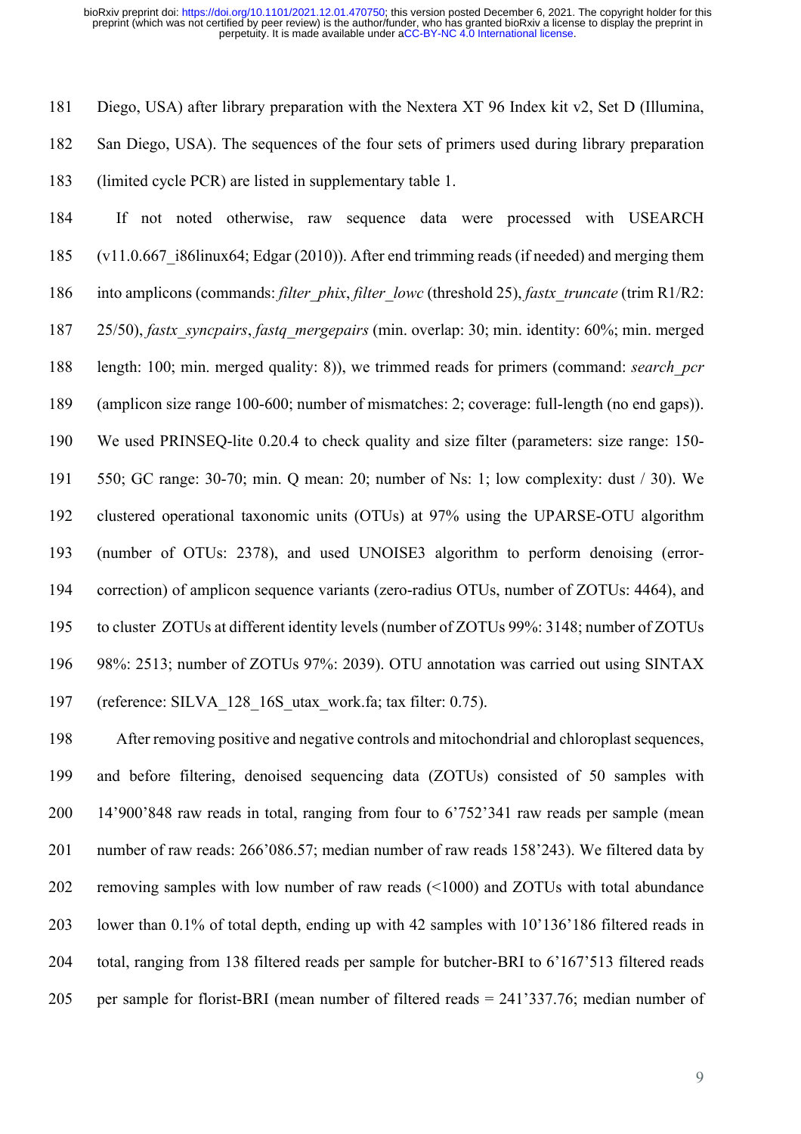Diego, USA) after library preparation with the Nextera XT 96 Index kit v2, Set D (Illumina, San Diego, USA). The sequences of the four sets of primers used during library preparation (limited cycle PCR) are listed in supplementary table 1.

 If not noted otherwise, raw sequence data were processed with USEARCH (v11.0.667\_i86linux64; Edgar (2010)). After end trimming reads (if needed) and merging them into amplicons (commands: *filter\_phix*, *filter\_lowc* (threshold 25), *fastx\_truncate* (trim R1/R2: 25/50), *fastx\_syncpairs*, *fastq\_mergepairs* (min. overlap: 30; min. identity: 60%; min. merged length: 100; min. merged quality: 8)), we trimmed reads for primers (command: *search\_pcr* (amplicon size range 100-600; number of mismatches: 2; coverage: full-length (no end gaps)). We used PRINSEQ-lite 0.20.4 to check quality and size filter (parameters: size range: 150- 550; GC range: 30-70; min. Q mean: 20; number of Ns: 1; low complexity: dust / 30). We clustered operational taxonomic units (OTUs) at 97% using the UPARSE-OTU algorithm (number of OTUs: 2378), and used UNOISE3 algorithm to perform denoising (error- correction) of amplicon sequence variants (zero-radius OTUs, number of ZOTUs: 4464), and to cluster ZOTUs at different identity levels (number of ZOTUs 99%: 3148; number of ZOTUs 98%: 2513; number of ZOTUs 97%: 2039). OTU annotation was carried out using SINTAX (reference: SILVA\_128\_16S\_utax\_work.fa; tax filter: 0.75).

 After removing positive and negative controls and mitochondrial and chloroplast sequences, and before filtering, denoised sequencing data (ZOTUs) consisted of 50 samples with 14'900'848 raw reads in total, ranging from four to 6'752'341 raw reads per sample (mean number of raw reads: 266'086.57; median number of raw reads 158'243). We filtered data by removing samples with low number of raw reads (<1000) and ZOTUs with total abundance lower than 0.1% of total depth, ending up with 42 samples with 10'136'186 filtered reads in total, ranging from 138 filtered reads per sample for butcher-BRI to 6'167'513 filtered reads per sample for florist-BRI (mean number of filtered reads = 241'337.76; median number of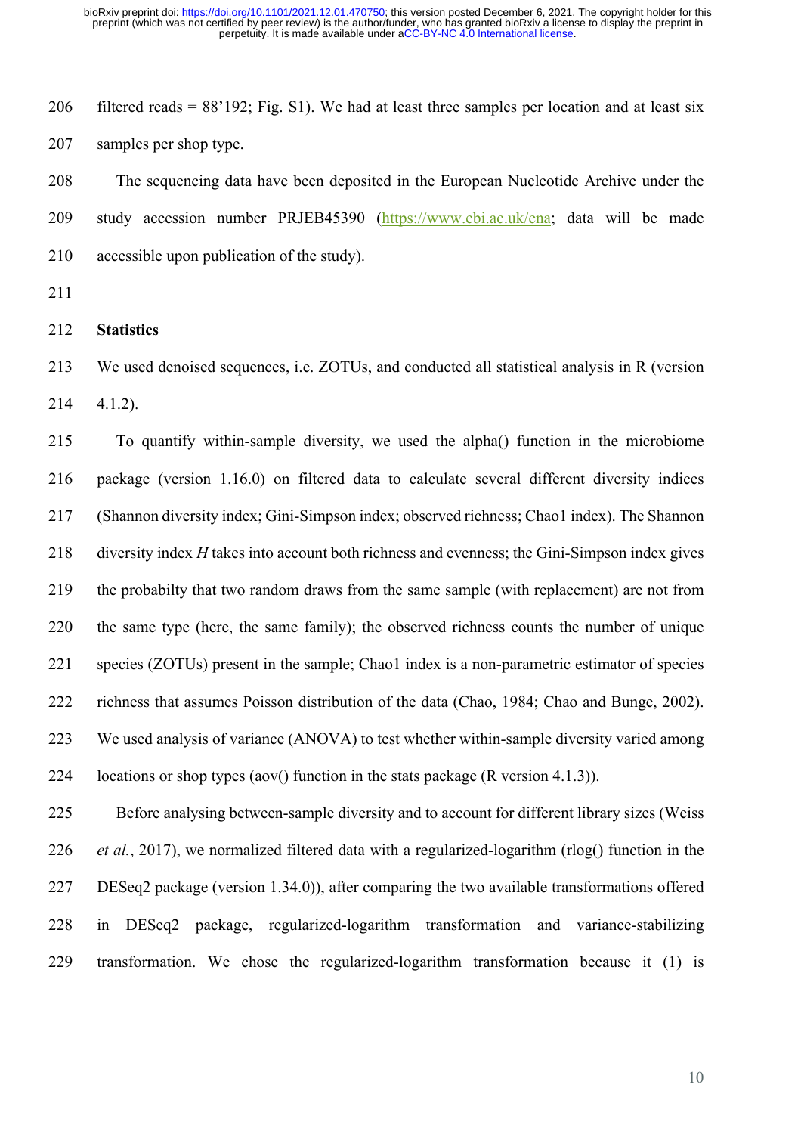206 filtered reads =  $88'192$ ; Fig. S1). We had at least three samples per location and at least six samples per shop type.

 The sequencing data have been deposited in the European Nucleotide Archive under the study accession number PRJEB45390 (https://www.ebi.ac.uk/ena; data will be made accessible upon publication of the study).

- 
- **Statistics**

 We used denoised sequences, i.e. ZOTUs, and conducted all statistical analysis in R (version 4.1.2).

 To quantify within-sample diversity, we used the alpha() function in the microbiome package (version 1.16.0) on filtered data to calculate several different diversity indices (Shannon diversity index; Gini-Simpson index; observed richness; Chao1 index). The Shannon diversity index *H* takes into account both richness and evenness; the Gini-Simpson index gives the probabilty that two random draws from the same sample (with replacement) are not from the same type (here, the same family); the observed richness counts the number of unique species (ZOTUs) present in the sample; Chao1 index is a non-parametric estimator of species richness that assumes Poisson distribution of the data (Chao, 1984; Chao and Bunge, 2002). We used analysis of variance (ANOVA) to test whether within-sample diversity varied among locations or shop types (aov() function in the stats package (R version 4.1.3)).

 Before analysing between-sample diversity and to account for different library sizes (Weiss *et al.*, 2017), we normalized filtered data with a regularized-logarithm (rlog() function in the DESeq2 package (version 1.34.0)), after comparing the two available transformations offered in DESeq2 package, regularized-logarithm transformation and variance-stabilizing transformation. We chose the regularized-logarithm transformation because it (1) is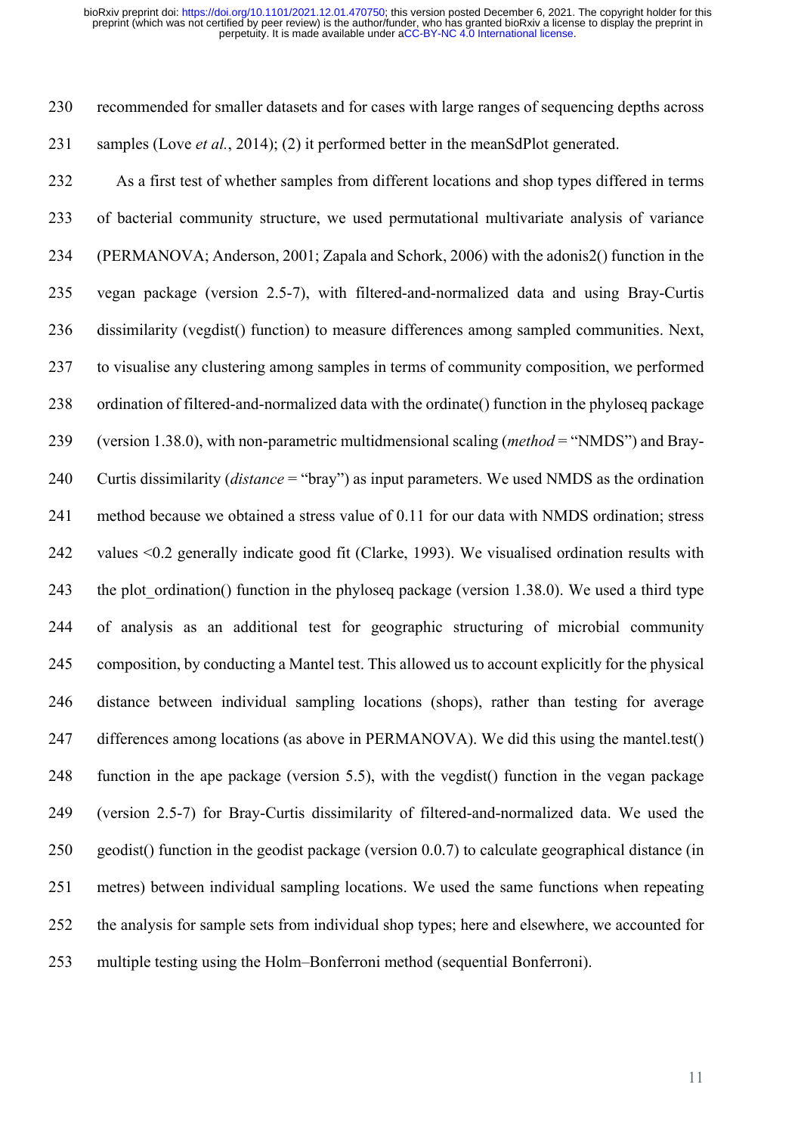recommended for smaller datasets and for cases with large ranges of sequencing depths across samples (Love *et al.*, 2014); (2) it performed better in the meanSdPlot generated.

 As a first test of whether samples from different locations and shop types differed in terms of bacterial community structure, we used permutational multivariate analysis of variance (PERMANOVA; Anderson, 2001; Zapala and Schork, 2006) with the adonis2() function in the vegan package (version 2.5-7), with filtered-and-normalized data and using Bray-Curtis dissimilarity (vegdist() function) to measure differences among sampled communities. Next, to visualise any clustering among samples in terms of community composition, we performed ordination of filtered-and-normalized data with the ordinate() function in the phyloseq package (version 1.38.0), with non-parametric multidmensional scaling (*method* = "NMDS") and Bray- Curtis dissimilarity (*distance* = "bray") as input parameters. We used NMDS as the ordination method because we obtained a stress value of 0.11 for our data with NMDS ordination; stress values <0.2 generally indicate good fit (Clarke, 1993). We visualised ordination results with 243 the plot ordination() function in the phyloseq package (version 1.38.0). We used a third type of analysis as an additional test for geographic structuring of microbial community composition, by conducting a Mantel test. This allowed us to account explicitly for the physical distance between individual sampling locations (shops), rather than testing for average differences among locations (as above in PERMANOVA). We did this using the mantel.test() function in the ape package (version 5.5), with the vegdist() function in the vegan package (version 2.5-7) for Bray-Curtis dissimilarity of filtered-and-normalized data. We used the geodist() function in the geodist package (version 0.0.7) to calculate geographical distance (in metres) between individual sampling locations. We used the same functions when repeating the analysis for sample sets from individual shop types; here and elsewhere, we accounted for multiple testing using the Holm–Bonferroni method (sequential Bonferroni).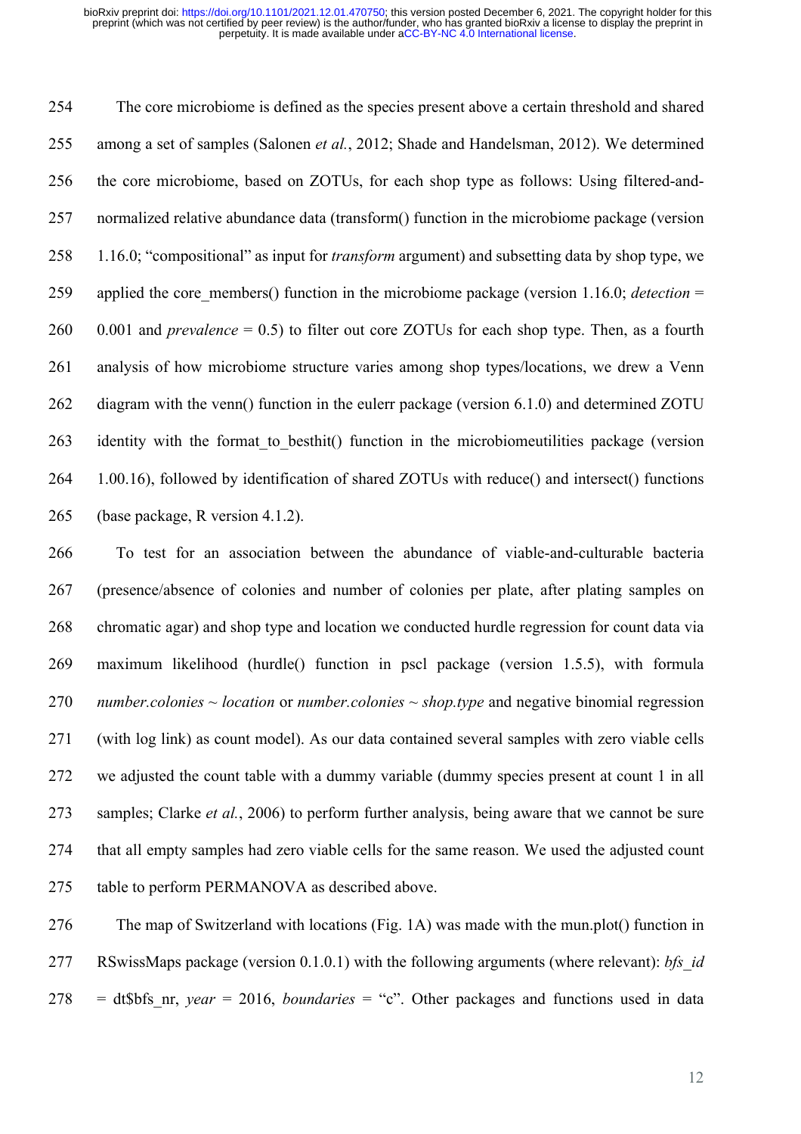The core microbiome is defined as the species present above a certain threshold and shared among a set of samples (Salonen *et al.*, 2012; Shade and Handelsman, 2012). We determined the core microbiome, based on ZOTUs, for each shop type as follows: Using filtered-and- normalized relative abundance data (transform() function in the microbiome package (version 1.16.0; "compositional" as input for *transform* argument) and subsetting data by shop type, we applied the core\_members() function in the microbiome package (version 1.16.0; *detection* = 0.001 and *prevalence* = 0.5) to filter out core ZOTUs for each shop type. Then, as a fourth analysis of how microbiome structure varies among shop types/locations, we drew a Venn 262 diagram with the venn() function in the eulerr package (version 6.1.0) and determined ZOTU 263 identity with the format to besthit() function in the microbiomeutilities package (version 1.00.16), followed by identification of shared ZOTUs with reduce() and intersect() functions (base package, R version 4.1.2).

 To test for an association between the abundance of viable-and-culturable bacteria (presence/absence of colonies and number of colonies per plate, after plating samples on chromatic agar) and shop type and location we conducted hurdle regression for count data via maximum likelihood (hurdle() function in pscl package (version 1.5.5), with formula *number.colonies ~ location* or *number.colonies ~ shop.type* and negative binomial regression (with log link) as count model). As our data contained several samples with zero viable cells we adjusted the count table with a dummy variable (dummy species present at count 1 in all samples; Clarke *et al.*, 2006) to perform further analysis, being aware that we cannot be sure that all empty samples had zero viable cells for the same reason. We used the adjusted count table to perform PERMANOVA as described above.

 The map of Switzerland with locations (Fig. 1A) was made with the mun.plot() function in RSwissMaps package (version 0.1.0.1) with the following arguments (where relevant): *bfs\_id*  = dt\$bfs\_nr, *year* = 2016, *boundaries* = "c". Other packages and functions used in data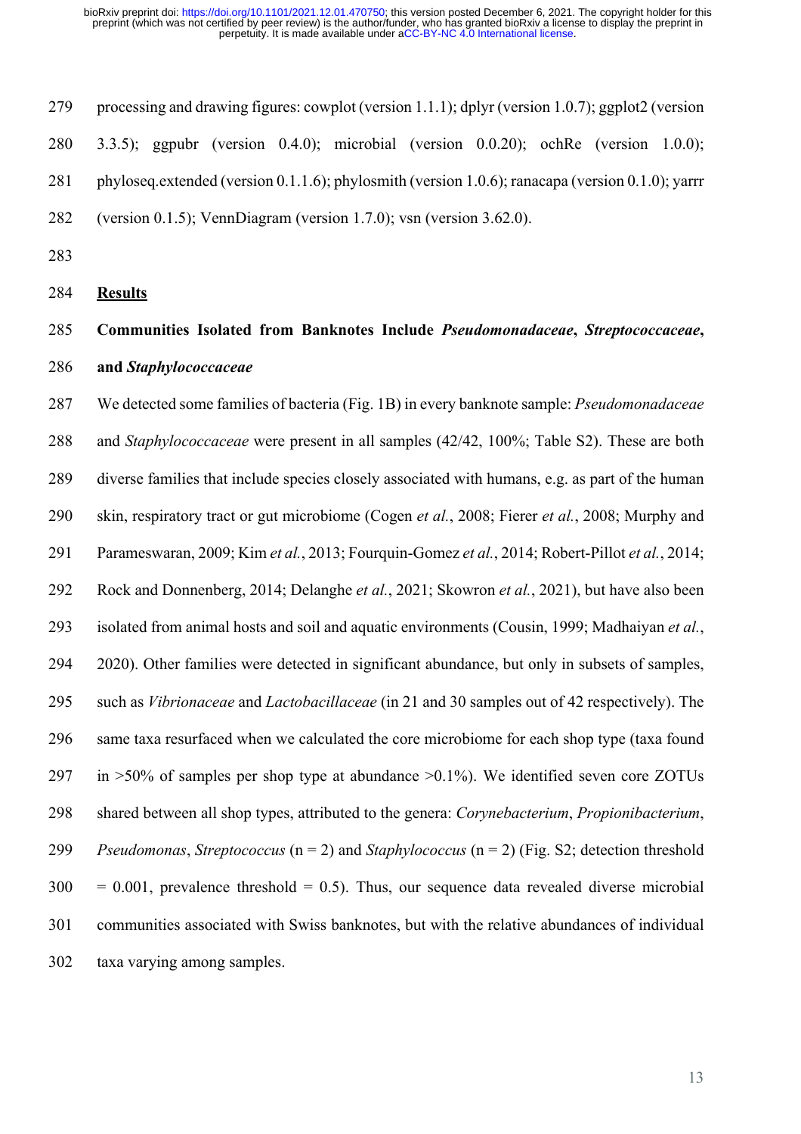processing and drawing figures: cowplot (version 1.1.1); dplyr (version 1.0.7); ggplot2 (version 3.3.5); ggpubr (version 0.4.0); microbial (version 0.0.20); ochRe (version 1.0.0); 281 phyloseq.extended (version 0.1.1.6); phylosmith (version 1.0.6); ranacapa (version 0.1.0); yarrr (version 0.1.5); VennDiagram (version 1.7.0); vsn (version 3.62.0).

- 
- **Results**

# **Communities Isolated from Banknotes Include** *Pseudomonadaceae***,** *Streptococcaceae***, and** *Staphylococcaceae*

 We detected some families of bacteria (Fig. 1B) in every banknote sample: *Pseudomonadaceae* and *Staphylococcaceae* were present in all samples (42/42, 100%; Table S2). These are both diverse families that include species closely associated with humans, e.g. as part of the human skin, respiratory tract or gut microbiome (Cogen *et al.*, 2008; Fierer *et al.*, 2008; Murphy and Parameswaran, 2009; Kim *et al.*, 2013; Fourquin-Gomez *et al.*, 2014; Robert-Pillot *et al.*, 2014; Rock and Donnenberg, 2014; Delanghe *et al.*, 2021; Skowron *et al.*, 2021), but have also been isolated from animal hosts and soil and aquatic environments (Cousin, 1999; Madhaiyan *et al.*, 2020). Other families were detected in significant abundance, but only in subsets of samples, such as *Vibrionaceae* and *Lactobacillaceae* (in 21 and 30 samples out of 42 respectively). The same taxa resurfaced when we calculated the core microbiome for each shop type (taxa found 297 in  $>50\%$  of samples per shop type at abundance  $>0.1\%$ ). We identified seven core ZOTUs shared between all shop types, attributed to the genera: *Corynebacterium*, *Propionibacterium*, *Pseudomonas*, *Streptococcus* (n = 2) and *Staphylococcus* (n = 2) (Fig. S2; detection threshold  $300 = 0.001$ , prevalence threshold = 0.5). Thus, our sequence data revealed diverse microbial communities associated with Swiss banknotes, but with the relative abundances of individual taxa varying among samples.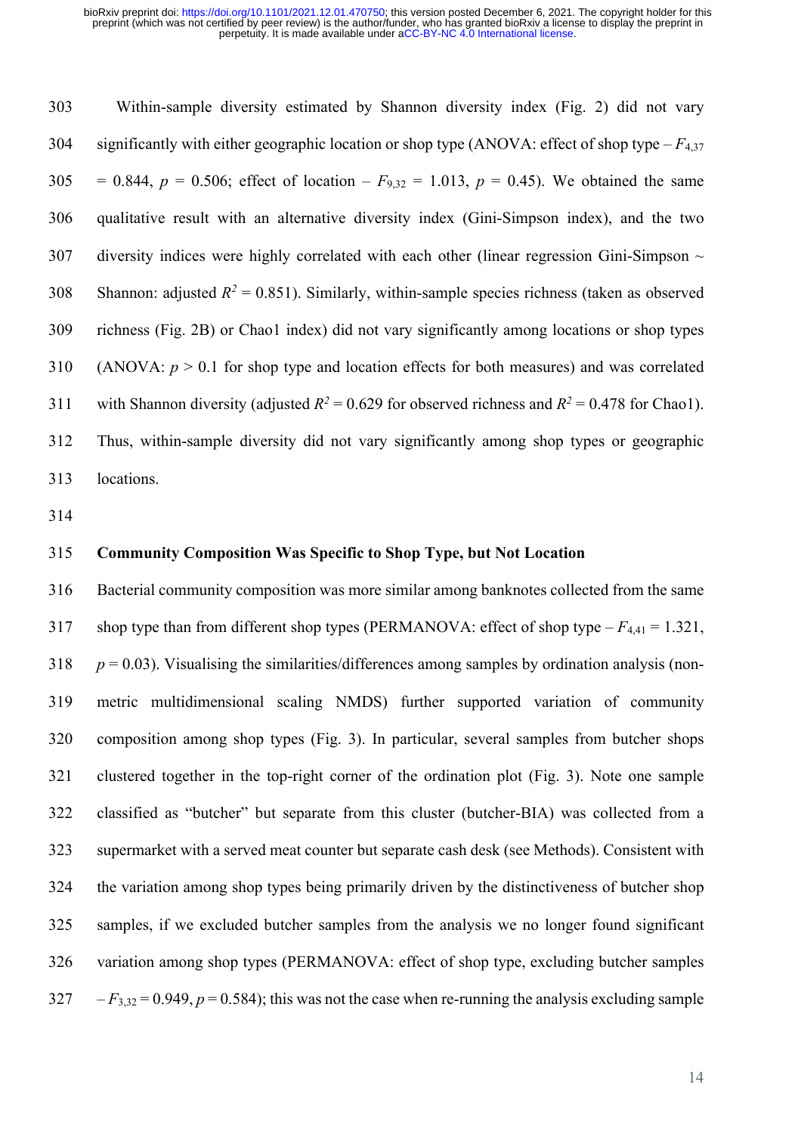Within-sample diversity estimated by Shannon diversity index (Fig. 2) did not vary significantly with either geographic location or shop type (ANOVA: effect of shop type – *F*4,37 305 = 0.844,  $p = 0.506$ ; effect of location –  $F_{9,32} = 1.013$ ,  $p = 0.45$ ). We obtained the same qualitative result with an alternative diversity index (Gini-Simpson index), and the two diversity indices were highly correlated with each other (linear regression Gini-Simpson  $\sim$ 308 Shannon: adjusted  $R^2 = 0.851$ ). Similarly, within-sample species richness (taken as observed richness (Fig. 2B) or Chao1 index) did not vary significantly among locations or shop types (ANOVA: *p* > 0.1 for shop type and location effects for both measures) and was correlated 311 with Shannon diversity (adjusted  $R^2 = 0.629$  for observed richness and  $R^2 = 0.478$  for Chao1). Thus, within-sample diversity did not vary significantly among shop types or geographic locations.

#### **Community Composition Was Specific to Shop Type, but Not Location**

 Bacterial community composition was more similar among banknotes collected from the same shop type than from different shop types (PERMANOVA: effect of shop type – *F*4,41 = 1.321,  $p = 0.03$ ). Visualising the similarities/differences among samples by ordination analysis (non- metric multidimensional scaling NMDS) further supported variation of community composition among shop types (Fig. 3). In particular, several samples from butcher shops clustered together in the top-right corner of the ordination plot (Fig. 3). Note one sample classified as "butcher" but separate from this cluster (butcher-BIA) was collected from a supermarket with a served meat counter but separate cash desk (see Methods). Consistent with the variation among shop types being primarily driven by the distinctiveness of butcher shop samples, if we excluded butcher samples from the analysis we no longer found significant variation among shop types (PERMANOVA: effect of shop type, excluding butcher samples  $327 - F_{3,32} = 0.949, p = 0.584$ ; this was not the case when re-running the analysis excluding sample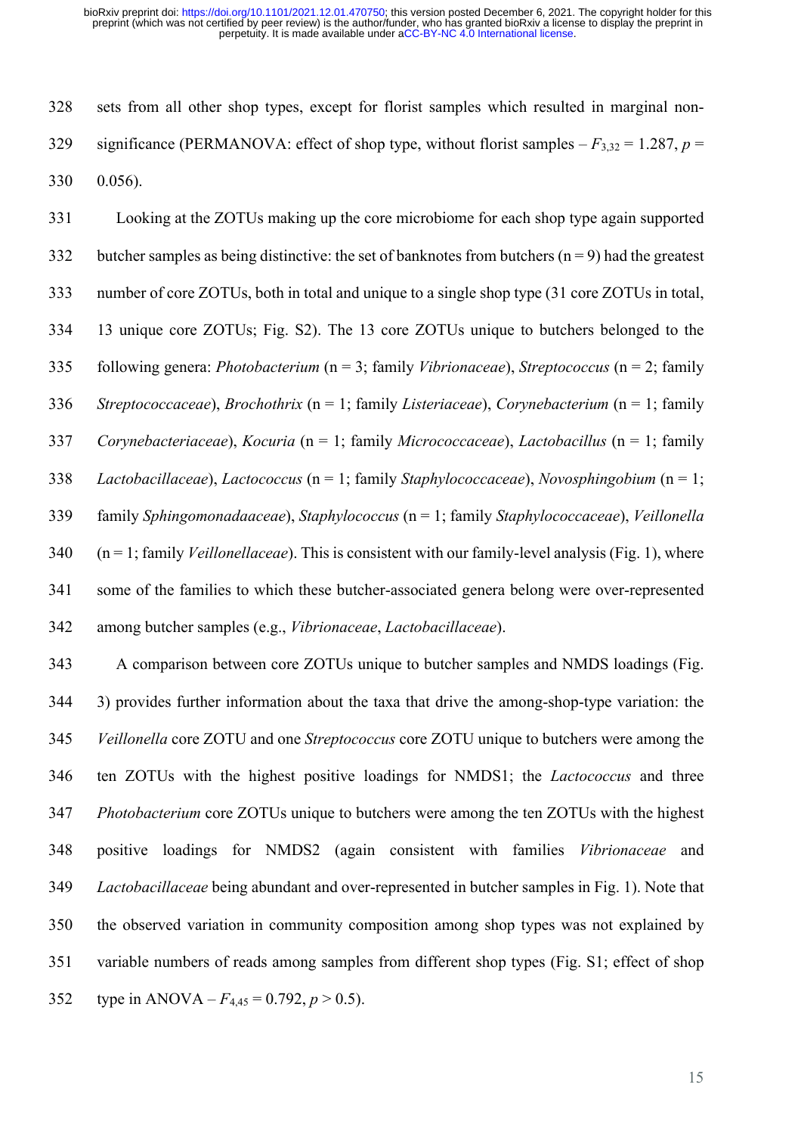sets from all other shop types, except for florist samples which resulted in marginal non-329 significance (PERMANOVA: effect of shop type, without florist samples  $-F_{3,32} = 1.287$ ,  $p =$ 0.056).

 Looking at the ZOTUs making up the core microbiome for each shop type again supported 332 butcher samples as being distinctive: the set of banknotes from butchers  $(n = 9)$  had the greatest number of core ZOTUs, both in total and unique to a single shop type (31 core ZOTUs in total, 13 unique core ZOTUs; Fig. S2). The 13 core ZOTUs unique to butchers belonged to the following genera: *Photobacterium* (n = 3; family *Vibrionaceae*), *Streptococcus* (n = 2; family *Streptococcaceae*), *Brochothrix* (n = 1; family *Listeriaceae*), *Corynebacterium* (n = 1; family *Corynebacteriaceae*), *Kocuria* (n = 1; family *Micrococcaceae*), *Lactobacillus* (n = 1; family *Lactobacillaceae*), *Lactococcus* (n = 1; family *Staphylococcaceae*), *Novosphingobium* (n = 1; family *Sphingomonadaaceae*), *Staphylococcus* (n = 1; family *Staphylococcaceae*), *Veillonella* (n = 1; family *Veillonellaceae*). This is consistent with our family-level analysis (Fig. 1), where some of the families to which these butcher-associated genera belong were over-represented among butcher samples (e.g., *Vibrionaceae*, *Lactobacillaceae*).

 A comparison between core ZOTUs unique to butcher samples and NMDS loadings (Fig. 3) provides further information about the taxa that drive the among-shop-type variation: the *Veillonella* core ZOTU and one *Streptococcus* core ZOTU unique to butchers were among the ten ZOTUs with the highest positive loadings for NMDS1; the *Lactococcus* and three *Photobacterium* core ZOTUs unique to butchers were among the ten ZOTUs with the highest positive loadings for NMDS2 (again consistent with families *Vibrionaceae* and *Lactobacillaceae* being abundant and over-represented in butcher samples in Fig. 1). Note that the observed variation in community composition among shop types was not explained by variable numbers of reads among samples from different shop types (Fig. S1; effect of shop 352 type in ANOVA –  $F_{4,45} = 0.792$ ,  $p > 0.5$ ).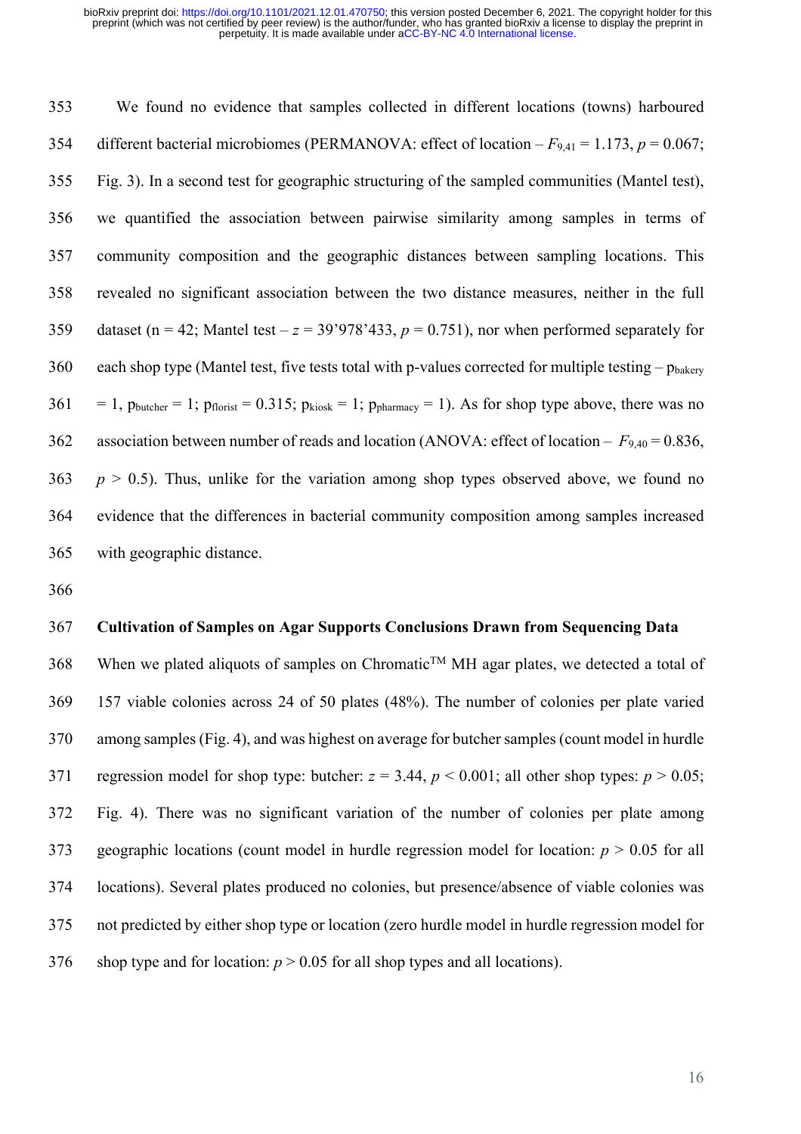We found no evidence that samples collected in different locations (towns) harboured 354 different bacterial microbiomes (PERMANOVA: effect of location  $-F_{9,41} = 1.173$ ,  $p = 0.067$ ; Fig. 3). In a second test for geographic structuring of the sampled communities (Mantel test), we quantified the association between pairwise similarity among samples in terms of community composition and the geographic distances between sampling locations. This revealed no significant association between the two distance measures, neither in the full 359 dataset (n = 42; Mantel test  $-z = 39'978'433$ ,  $p = 0.751$ ), nor when performed separately for 360 each shop type (Mantel test, five tests total with p-values corrected for multiple testing –  $p_{\text{hakerv}}$  $361 = 1$ ,  $p_{\text{butter}} = 1$ ;  $p_{\text{floorist}} = 0.315$ ;  $p_{\text{kiosk}} = 1$ ;  $p_{\text{pharmacy}} = 1$ ). As for shop type above, there was no association between number of reads and location (ANOVA: effect of location – *F*9,40 = 0.836, *p*  $> 0.5$ ). Thus, unlike for the variation among shop types observed above, we found no evidence that the differences in bacterial community composition among samples increased with geographic distance.

### **Cultivation of Samples on Agar Supports Conclusions Drawn from Sequencing Data**

368 When we plated aliquots of samples on Chromatic<sup>TM</sup> MH agar plates, we detected a total of 157 viable colonies across 24 of 50 plates (48%). The number of colonies per plate varied among samples (Fig. 4), and was highest on average for butcher samples(count model in hurdle 371 regression model for shop type: butcher:  $z = 3.44$ ,  $p < 0.001$ ; all other shop types:  $p > 0.05$ ; Fig. 4). There was no significant variation of the number of colonies per plate among geographic locations (count model in hurdle regression model for location: *p* > 0.05 for all locations). Several plates produced no colonies, but presence/absence of viable colonies was not predicted by either shop type or location (zero hurdle model in hurdle regression model for 376 shop type and for location:  $p > 0.05$  for all shop types and all locations).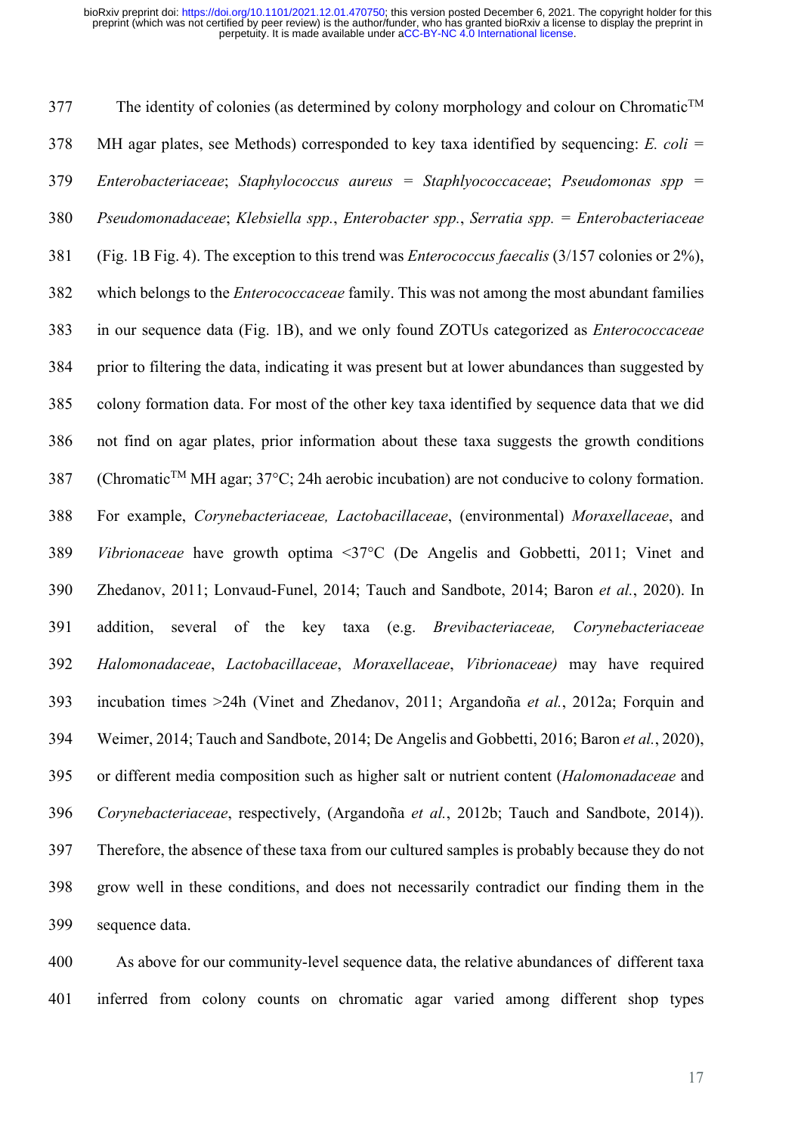The identity of colonies (as determined by colony morphology and colour on Chromatic<sup>TM</sup> MH agar plates, see Methods) corresponded to key taxa identified by sequencing: *E. coli = Enterobacteriaceae*; *Staphylococcus aureus = Staphlyococcaceae*; *Pseudomonas spp = Pseudomonadaceae*; *Klebsiella spp.*, *Enterobacter spp.*, *Serratia spp. = Enterobacteriaceae* (Fig. 1B Fig. 4). The exception to this trend was *Enterococcus faecalis* (3/157 colonies or 2%), which belongs to the *Enterococcaceae* family. This was not among the most abundant families in our sequence data (Fig. 1B), and we only found ZOTUs categorized as *Enterococcaceae*  prior to filtering the data, indicating it was present but at lower abundances than suggested by colony formation data. For most of the other key taxa identified by sequence data that we did not find on agar plates, prior information about these taxa suggests the growth conditions 387 (Chromatic<sup>TM</sup> MH agar; 37 $\degree$ C; 24h aerobic incubation) are not conducive to colony formation. For example, *Corynebacteriaceae, Lactobacillaceae*, (environmental) *Moraxellaceae*, and *Vibrionaceae* have growth optima <37°C (De Angelis and Gobbetti, 2011; Vinet and Zhedanov, 2011; Lonvaud-Funel, 2014; Tauch and Sandbote, 2014; Baron *et al.*, 2020). In addition, several of the key taxa (e.g. *Brevibacteriaceae, Corynebacteriaceae Halomonadaceae*, *Lactobacillaceae*, *Moraxellaceae*, *Vibrionaceae)* may have required incubation times >24h (Vinet and Zhedanov, 2011; Argandoña *et al.*, 2012a; Forquin and Weimer, 2014; Tauch and Sandbote, 2014; De Angelis and Gobbetti, 2016; Baron *et al.*, 2020), or different media composition such as higher salt or nutrient content (*Halomonadaceae* and *Corynebacteriaceae*, respectively, (Argandoña *et al.*, 2012b; Tauch and Sandbote, 2014)). Therefore, the absence of these taxa from our cultured samples is probably because they do not grow well in these conditions, and does not necessarily contradict our finding them in the sequence data.

 As above for our community-level sequence data, the relative abundances of different taxa inferred from colony counts on chromatic agar varied among different shop types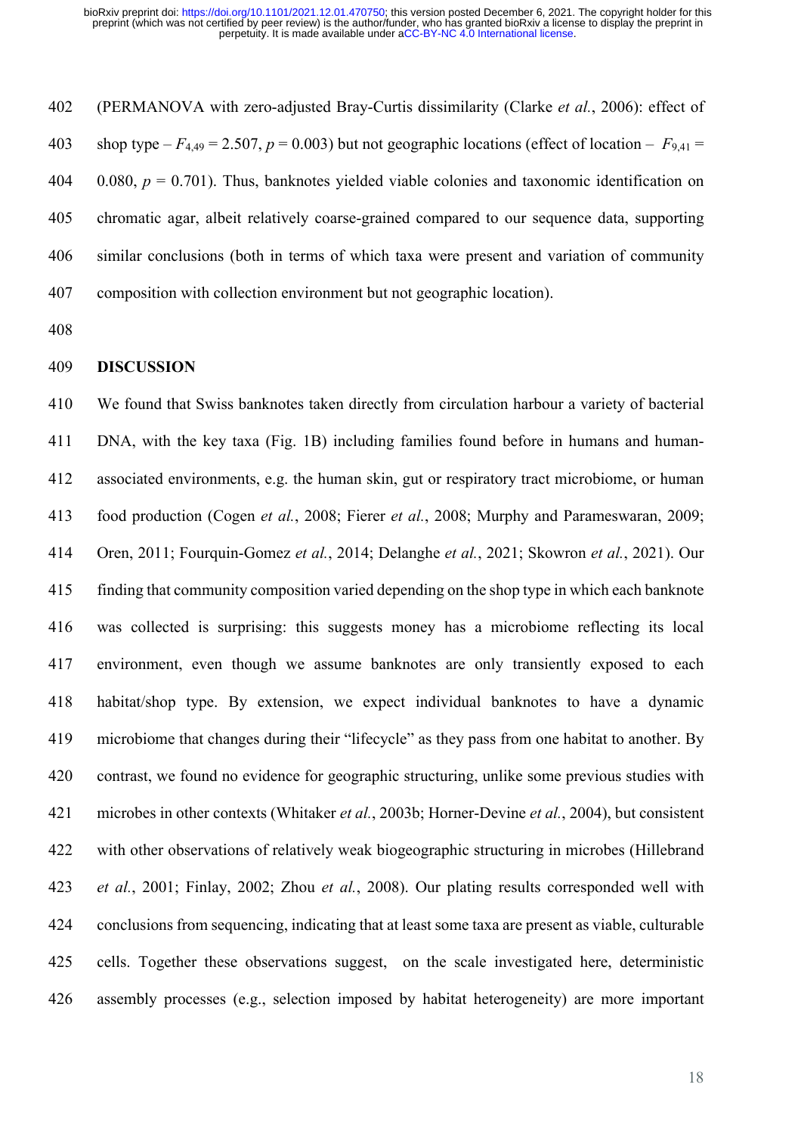(PERMANOVA with zero-adjusted Bray-Curtis dissimilarity (Clarke *et al.*, 2006): effect of 403 shop type  $-F_{4,49} = 2.507$ ,  $p = 0.003$ ) but not geographic locations (effect of location –  $F_{9,41} =$  $0.080, p = 0.701$ ). Thus, banknotes yielded viable colonies and taxonomic identification on chromatic agar, albeit relatively coarse-grained compared to our sequence data, supporting similar conclusions (both in terms of which taxa were present and variation of community composition with collection environment but not geographic location).

#### **DISCUSSION**

 We found that Swiss banknotes taken directly from circulation harbour a variety of bacterial DNA, with the key taxa (Fig. 1B) including families found before in humans and human- associated environments, e.g. the human skin, gut or respiratory tract microbiome, or human food production (Cogen *et al.*, 2008; Fierer *et al.*, 2008; Murphy and Parameswaran, 2009; Oren, 2011; Fourquin-Gomez *et al.*, 2014; Delanghe *et al.*, 2021; Skowron *et al.*, 2021). Our finding that community composition varied depending on the shop type in which each banknote was collected is surprising: this suggests money has a microbiome reflecting its local environment, even though we assume banknotes are only transiently exposed to each habitat/shop type. By extension, we expect individual banknotes to have a dynamic microbiome that changes during their "lifecycle" as they pass from one habitat to another. By contrast, we found no evidence for geographic structuring, unlike some previous studies with microbes in other contexts (Whitaker *et al.*, 2003b; Horner-Devine *et al.*, 2004), but consistent with other observations of relatively weak biogeographic structuring in microbes (Hillebrand *et al.*, 2001; Finlay, 2002; Zhou *et al.*, 2008). Our plating results corresponded well with conclusions from sequencing, indicating that at least some taxa are present as viable, culturable cells. Together these observations suggest, on the scale investigated here, deterministic assembly processes (e.g., selection imposed by habitat heterogeneity) are more important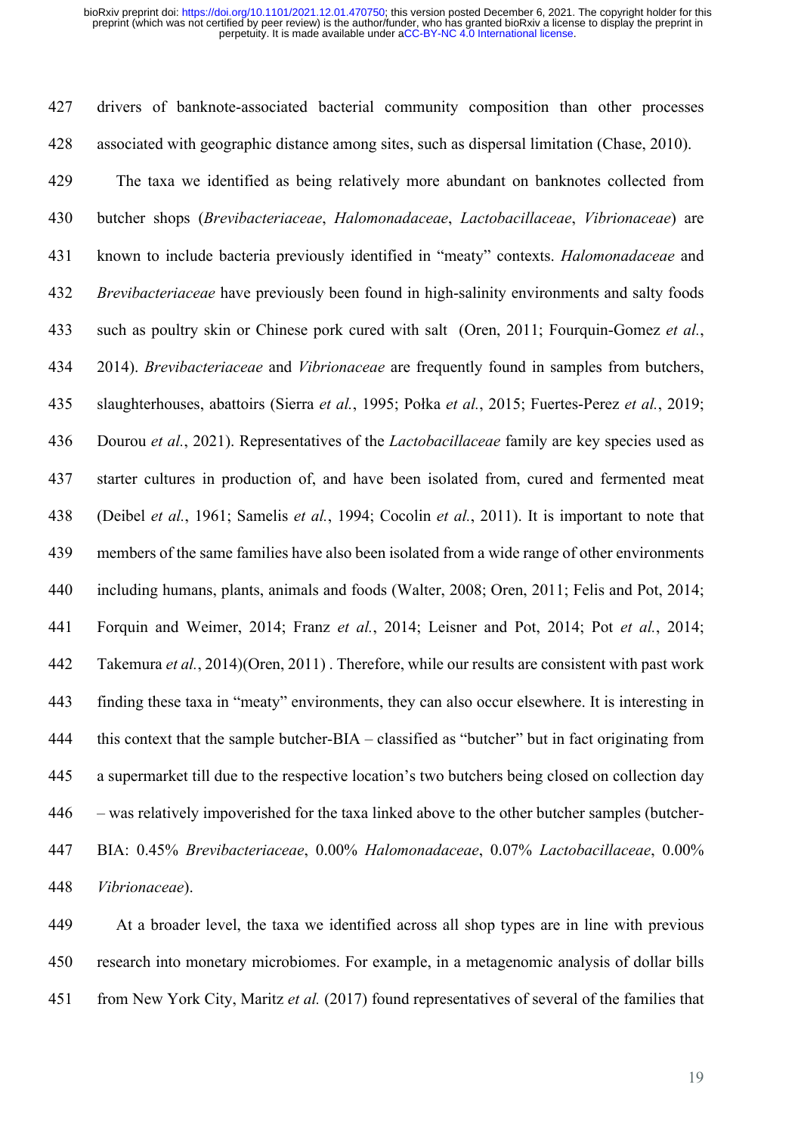drivers of banknote-associated bacterial community composition than other processes associated with geographic distance among sites, such as dispersal limitation (Chase, 2010).

 The taxa we identified as being relatively more abundant on banknotes collected from butcher shops (*Brevibacteriaceae*, *Halomonadaceae*, *Lactobacillaceae*, *Vibrionaceae*) are known to include bacteria previously identified in "meaty" contexts. *Halomonadaceae* and *Brevibacteriaceae* have previously been found in high-salinity environments and salty foods such as poultry skin or Chinese pork cured with salt (Oren, 2011; Fourquin-Gomez *et al.*, 2014). *Brevibacteriaceae* and *Vibrionaceae* are frequently found in samples from butchers, slaughterhouses, abattoirs (Sierra *et al.*, 1995; Połka *et al.*, 2015; Fuertes-Perez *et al.*, 2019; Dourou *et al.*, 2021). Representatives of the *Lactobacillaceae* family are key species used as starter cultures in production of, and have been isolated from, cured and fermented meat (Deibel *et al.*, 1961; Samelis *et al.*, 1994; Cocolin *et al.*, 2011). It is important to note that members of the same families have also been isolated from a wide range of other environments including humans, plants, animals and foods (Walter, 2008; Oren, 2011; Felis and Pot, 2014; Forquin and Weimer, 2014; Franz *et al.*, 2014; Leisner and Pot, 2014; Pot *et al.*, 2014; Takemura *et al.*, 2014)(Oren, 2011) . Therefore, while our results are consistent with past work finding these taxa in "meaty" environments, they can also occur elsewhere. It is interesting in this context that the sample butcher-BIA – classified as "butcher" but in fact originating from a supermarket till due to the respective location's two butchers being closed on collection day – was relatively impoverished for the taxa linked above to the other butcher samples (butcher- BIA: 0.45% *Brevibacteriaceae*, 0.00% *Halomonadaceae*, 0.07% *Lactobacillaceae*, 0.00% *Vibrionaceae*).

 At a broader level, the taxa we identified across all shop types are in line with previous research into monetary microbiomes. For example, in a metagenomic analysis of dollar bills from New York City, Maritz *et al.* (2017) found representatives of several of the families that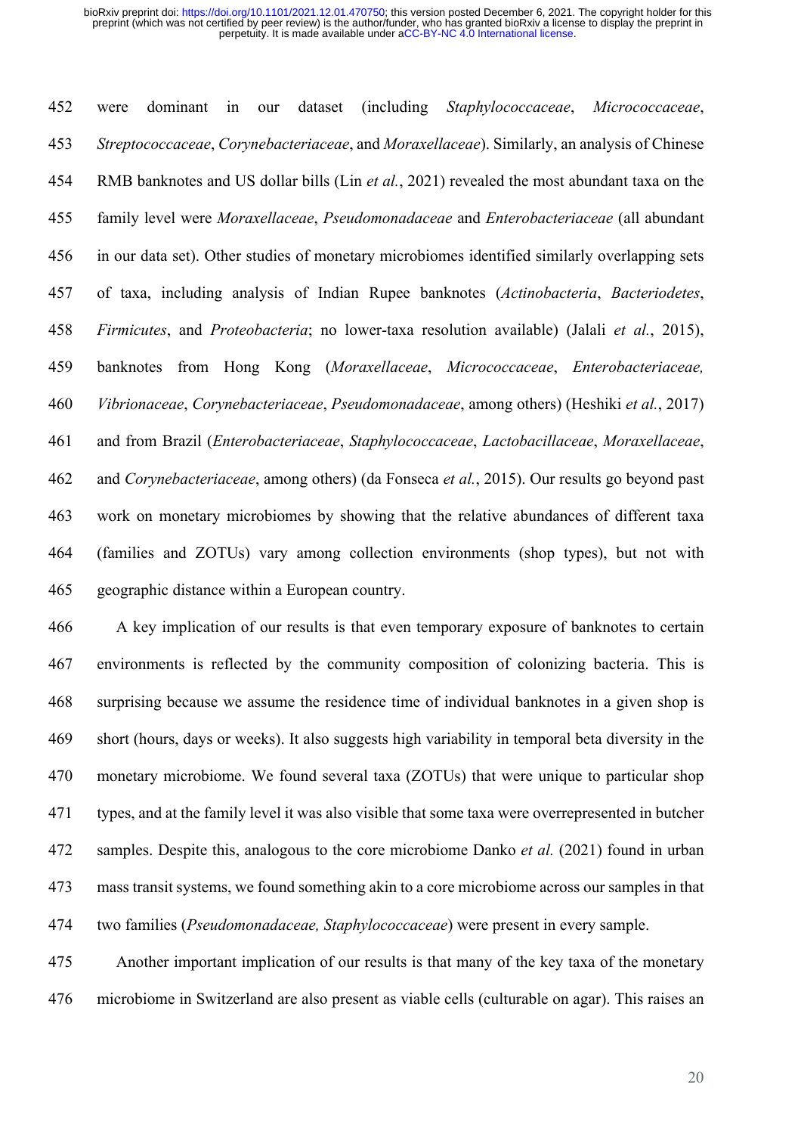were dominant in our dataset (including *Staphylococcaceae*, *Micrococcaceae*, *Streptococcaceae*, *Corynebacteriaceae*, and *Moraxellaceae*). Similarly, an analysis of Chinese RMB banknotes and US dollar bills (Lin *et al.*, 2021) revealed the most abundant taxa on the family level were *Moraxellaceae*, *Pseudomonadaceae* and *Enterobacteriaceae* (all abundant in our data set). Other studies of monetary microbiomes identified similarly overlapping sets of taxa, including analysis of Indian Rupee banknotes (*Actinobacteria*, *Bacteriodetes*, *Firmicutes*, and *Proteobacteria*; no lower-taxa resolution available) (Jalali *et al.*, 2015), banknotes from Hong Kong (*Moraxellaceae*, *Micrococcaceae*, *Enterobacteriaceae, Vibrionaceae*, *Corynebacteriaceae*, *Pseudomonadaceae*, among others) (Heshiki *et al.*, 2017) and from Brazil (*Enterobacteriaceae*, *Staphylococcaceae*, *Lactobacillaceae*, *Moraxellaceae*, and *Corynebacteriaceae*, among others) (da Fonseca *et al.*, 2015). Our results go beyond past work on monetary microbiomes by showing that the relative abundances of different taxa (families and ZOTUs) vary among collection environments (shop types), but not with geographic distance within a European country.

 A key implication of our results is that even temporary exposure of banknotes to certain environments is reflected by the community composition of colonizing bacteria. This is surprising because we assume the residence time of individual banknotes in a given shop is short (hours, days or weeks). It also suggests high variability in temporal beta diversity in the monetary microbiome. We found several taxa (ZOTUs) that were unique to particular shop types, and at the family level it was also visible that some taxa were overrepresented in butcher samples. Despite this, analogous to the core microbiome Danko *et al.* (2021) found in urban mass transit systems, we found something akin to a core microbiome across our samples in that two families (*Pseudomonadaceae, Staphylococcaceae*) were present in every sample.

 Another important implication of our results is that many of the key taxa of the monetary microbiome in Switzerland are also present as viable cells (culturable on agar). This raises an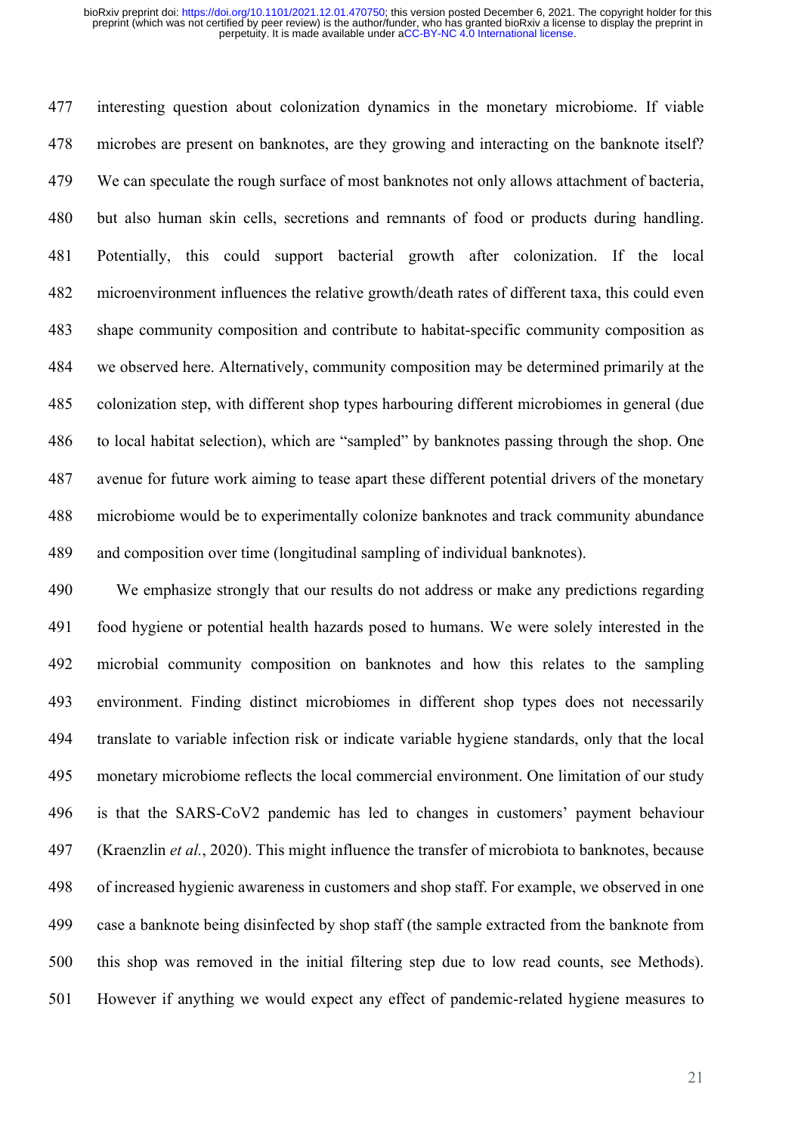interesting question about colonization dynamics in the monetary microbiome. If viable microbes are present on banknotes, are they growing and interacting on the banknote itself? We can speculate the rough surface of most banknotes not only allows attachment of bacteria, but also human skin cells, secretions and remnants of food or products during handling. Potentially, this could support bacterial growth after colonization. If the local microenvironment influences the relative growth/death rates of different taxa, this could even shape community composition and contribute to habitat-specific community composition as we observed here. Alternatively, community composition may be determined primarily at the colonization step, with different shop types harbouring different microbiomes in general (due to local habitat selection), which are "sampled" by banknotes passing through the shop. One avenue for future work aiming to tease apart these different potential drivers of the monetary microbiome would be to experimentally colonize banknotes and track community abundance and composition over time (longitudinal sampling of individual banknotes).

 We emphasize strongly that our results do not address or make any predictions regarding food hygiene or potential health hazards posed to humans. We were solely interested in the microbial community composition on banknotes and how this relates to the sampling environment. Finding distinct microbiomes in different shop types does not necessarily translate to variable infection risk or indicate variable hygiene standards, only that the local monetary microbiome reflects the local commercial environment. One limitation of our study is that the SARS-CoV2 pandemic has led to changes in customers' payment behaviour (Kraenzlin *et al.*, 2020). This might influence the transfer of microbiota to banknotes, because of increased hygienic awareness in customers and shop staff. For example, we observed in one case a banknote being disinfected by shop staff (the sample extracted from the banknote from this shop was removed in the initial filtering step due to low read counts, see Methods). However if anything we would expect any effect of pandemic-related hygiene measures to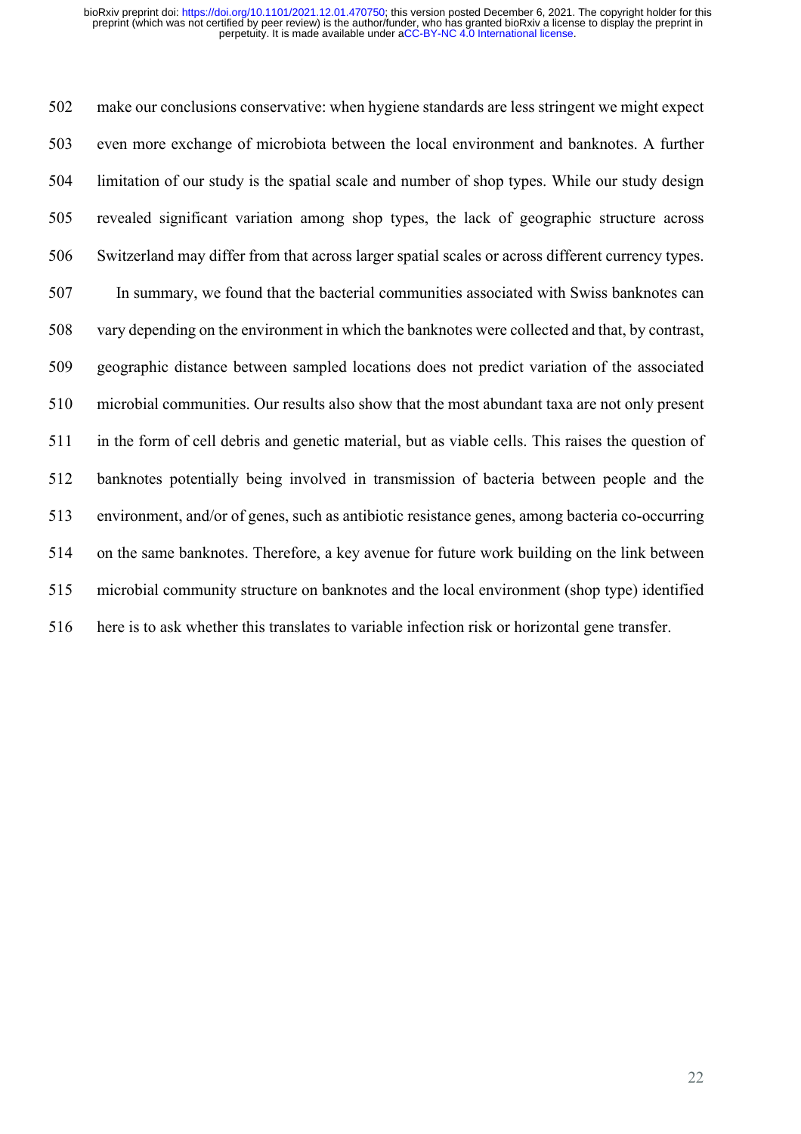make our conclusions conservative: when hygiene standards are less stringent we might expect even more exchange of microbiota between the local environment and banknotes. A further limitation of our study is the spatial scale and number of shop types. While our study design revealed significant variation among shop types, the lack of geographic structure across Switzerland may differ from that across larger spatial scales or across different currency types. In summary, we found that the bacterial communities associated with Swiss banknotes can vary depending on the environment in which the banknotes were collected and that, by contrast, geographic distance between sampled locations does not predict variation of the associated microbial communities. Our results also show that the most abundant taxa are not only present in the form of cell debris and genetic material, but as viable cells. This raises the question of banknotes potentially being involved in transmission of bacteria between people and the environment, and/or of genes, such as antibiotic resistance genes, among bacteria co-occurring on the same banknotes. Therefore, a key avenue for future work building on the link between microbial community structure on banknotes and the local environment (shop type) identified here is to ask whether this translates to variable infection risk or horizontal gene transfer.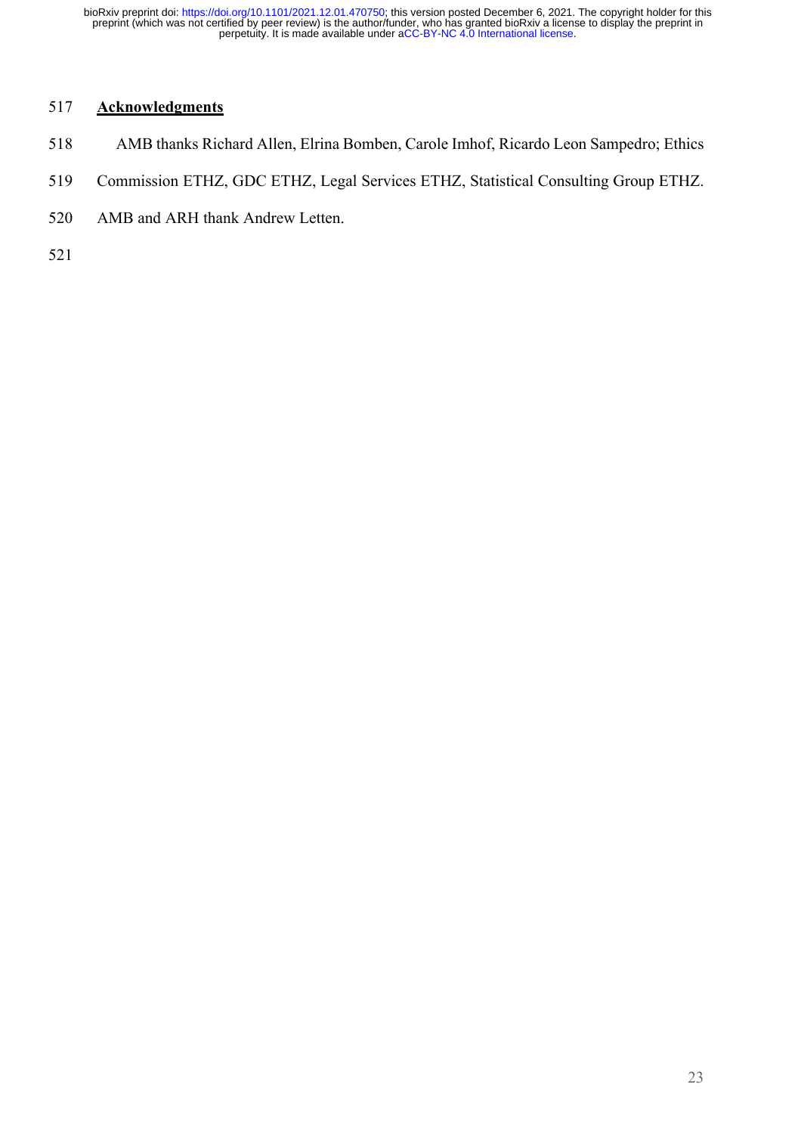# **Acknowledgments**

- AMB thanks Richard Allen, Elrina Bomben, Carole Imhof, Ricardo Leon Sampedro; Ethics
- Commission ETHZ, GDC ETHZ, Legal Services ETHZ, Statistical Consulting Group ETHZ.
- AMB and ARH thank Andrew Letten.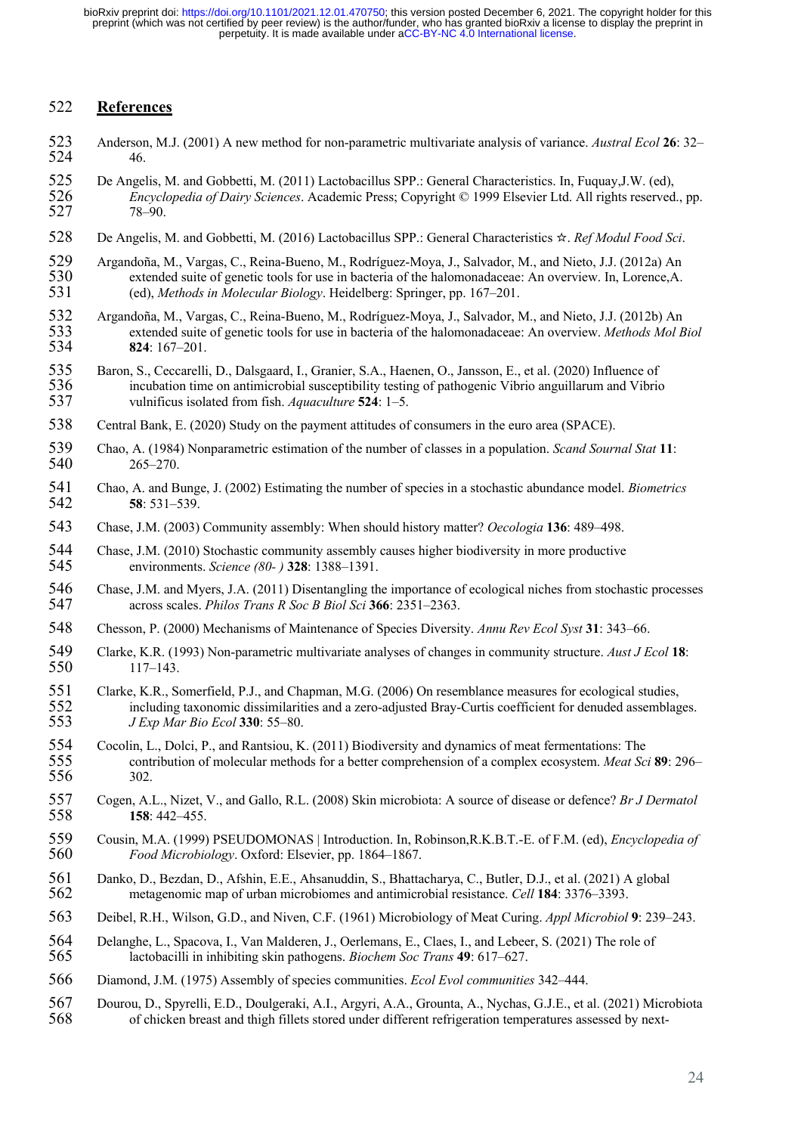### **References**

- Anderson, M.J. (2001) A new method for non-parametric multivariate analysis of variance. *Austral Ecol* **26**: 32– 46.
- 525 De Angelis, M. and Gobbetti, M. (2011) Lactobacillus SPP.: General Characteristics. In, Fuquay, J.W. (ed),<br>526 *Encyclopedia of Dairy Sciences*. Academic Press: Copyright © 1999 Elsevier Ltd. All rights reserved *Encyclopedia of Dairy Sciences*. Academic Press; Copyright © 1999 Elsevier Ltd. All rights reserved., pp. 78–90.
- De Angelis, M. and Gobbetti, M. (2016) Lactobacillus SPP.: General Characteristics ☆. *Ref Modul Food Sci*.
- 529 Argandoña, M., Vargas, C., Reina-Bueno, M., Rodríguez-Moya, J., Salvador, M., and Nieto, J.J. (2012a) An<br>530 extended suite of genetic tools for use in bacteria of the halomonadaceae: An overview. In, Lorence, A. 530 extended suite of genetic tools for use in bacteria of the halomonadaceae: An overview. In, Lorence, A. 531 (ed), *Methods in Molecular Biology*. Heidelberg: Springer, pp. 167–201. (ed), *Methods in Molecular Biology*. Heidelberg: Springer, pp. 167–201.
- 532 Argandoña, M., Vargas, C., Reina-Bueno, M., Rodríguez-Moya, J., Salvador, M., and Nieto, J.J. (2012b) An extended suite of genetic tools for use in bacteria of the halomonadaceae: An overview. *Methods Mol B*  extended suite of genetic tools for use in bacteria of the halomonadaceae: An overview. *Methods Mol Biol* **824**: 167–201.
- 535 Baron, S., Ceccarelli, D., Dalsgaard, I., Granier, S.A., Haenen, O., Jansson, E., et al. (2020) Influence of incubation time on antimicrobial susceptibility testing of pathogenic Vibrio anguillarum and Vibric vulnificu incubation time on antimicrobial susceptibility testing of pathogenic Vibrio anguillarum and Vibrio vulnificus isolated from fish. *Aquaculture* **524**: 1–5.
- Central Bank, E. (2020) Study on the payment attitudes of consumers in the euro area (SPACE).
- Chao, A. (1984) Nonparametric estimation of the number of classes in a population. *Scand Sournal Stat* **11**: 265–270.
- Chao, A. and Bunge, J. (2002) Estimating the number of species in a stochastic abundance model. *Biometrics* **58**: 531–539.
- Chase, J.M. (2003) Community assembly: When should history matter? *Oecologia* **136**: 489–498.
- 544 Chase, J.M. (2010) Stochastic community assembly causes higher biodiversity in more productive<br>545 environments. Science (80-) 328: 1388–1391. environments. *Science (80- )* **328**: 1388–1391.
- Chase, J.M. and Myers, J.A. (2011) Disentangling the importance of ecological niches from stochastic processes across scales. *Philos Trans R Soc B Biol Sci* **366**: 2351–2363.
- Chesson, P. (2000) Mechanisms of Maintenance of Species Diversity. *Annu Rev Ecol Syst* **31**: 343–66.
- 549 Clarke, K.R. (1993) Non-parametric multivariate analyses of changes in community structure. *Aust J Ecol* 18:<br>550 117–143. 117–143.
- 551 Clarke, K.R., Somerfield, P.J., and Chapman, M.G. (2006) On resemblance measures for ecological studies,<br>552 including taxonomic dissimilarities and a zero-adjusted Bray-Curtis coefficient for denuded assemblag 552 including taxonomic dissimilarities and a zero-adjusted Bray-Curtis coefficient for denuded assemblages.<br>553 *J Exp Mar Bio Ecol* 330: 55–80. *J Exp Mar Bio Ecol* **330**: 55–80.
- Cocolin, L., Dolci, P., and Rantsiou, K. (2011) Biodiversity and dynamics of meat fermentations: The contribution of molecular methods for a better comprehension of a complex ecosystem. *Meat Sci* **89**: 296– 555 contra<br>556 302.
- Cogen, A.L., Nizet, V., and Gallo, R.L. (2008) Skin microbiota: A source of disease or defence? *Br J Dermatol* **158**: 442–455.
- Cousin, M.A. (1999) PSEUDOMONAS | Introduction. In, Robinson,R.K.B.T.-E. of F.M. (ed), *Encyclopedia of Food Microbiology*. Oxford: Elsevier, pp. 1864–1867.
- 561 Danko, D., Bezdan, D., Afshin, E.E., Ahsanuddin, S., Bhattacharya, C., Butler, D.J., et al. (2021) A global metagenomic map of urban microbiomes and antimicrobial resistance. Cell 184: 3376–3393. metagenomic map of urban microbiomes and antimicrobial resistance. *Cell* **184**: 3376–3393.
- Deibel, R.H., Wilson, G.D., and Niven, C.F. (1961) Microbiology of Meat Curing. *Appl Microbiol* **9**: 239–243.
- 564 Delanghe, L., Spacova, I., Van Malderen, J., Oerlemans, E., Claes, I., and Lebeer, S. (2021) The role of 565 lactobacilli in inhibiting skin pathogens. *Biochem Soc Trans* **49**: 617–627. lactobacilli in inhibiting skin pathogens. *Biochem Soc Trans* **49**: 617–627.
- Diamond, J.M. (1975) Assembly of species communities. *Ecol Evol communities* 342–444.
- Dourou, D., Spyrelli, E.D., Doulgeraki, A.I., Argyri, A.A., Grounta, A., Nychas, G.J.E., et al. (2021) Microbiota of chicken breast and thigh fillets stored under different refrigeration temperatures assessed by next-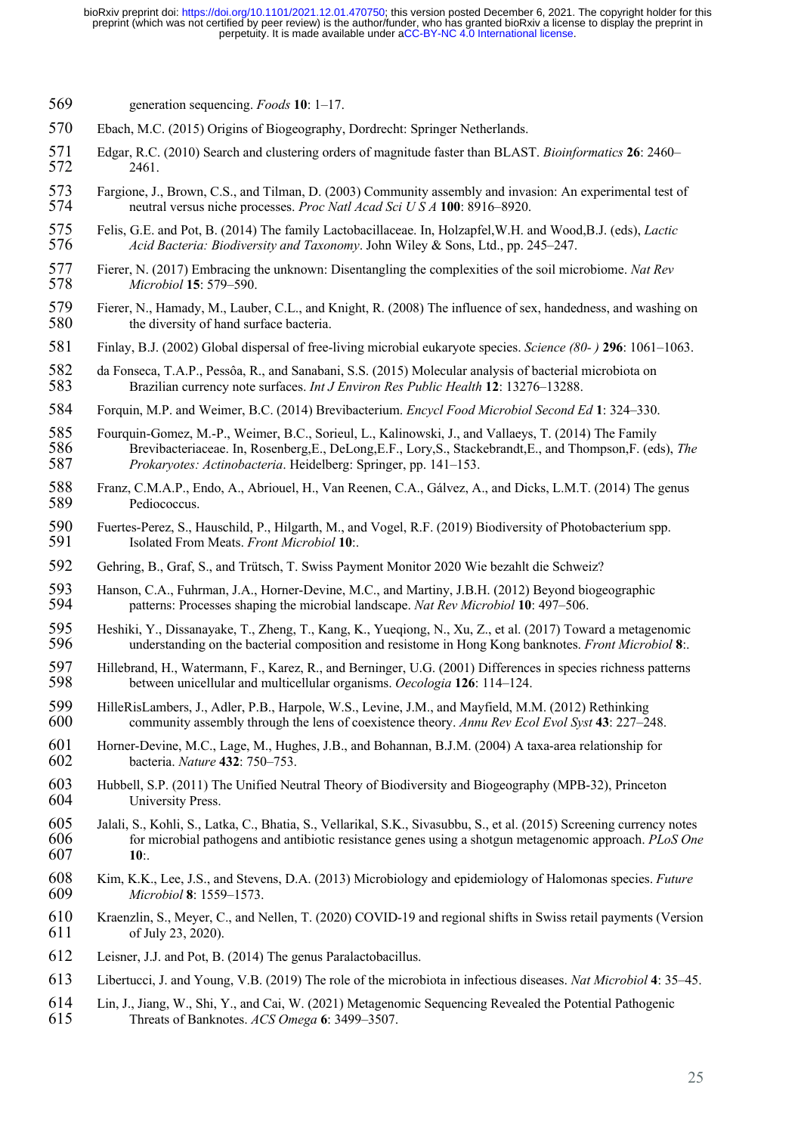- generation sequencing. *Foods* **10**: 1–17.
- Ebach, M.C. (2015) Origins of Biogeography, Dordrecht: Springer Netherlands.
- Edgar, R.C. (2010) Search and clustering orders of magnitude faster than BLAST. *Bioinformatics* **26**: 2460– 2461.
- 573 Fargione, J., Brown, C.S., and Tilman, D. (2003) Community assembly and invasion: An experimental test of neutral versus niche processes. *Proc Natl Acad Sci U S A* 100: 8916–8920. neutral versus niche processes. *Proc Natl Acad Sci U S A* **100**: 8916–8920.
- Felis, G.E. and Pot, B. (2014) The family Lactobacillaceae. In, Holzapfel,W.H. and Wood,B.J. (eds), *Lactic Acid Bacteria: Biodiversity and Taxonomy*. John Wiley & Sons, Ltd., pp. 245–247.
- Fierer, N. (2017) Embracing the unknown: Disentangling the complexities of the soil microbiome. *Nat Rev Microbiol* **15**: 579–590.
- 579 Fierer, N., Hamady, M., Lauber, C.L., and Knight, R. (2008) The influence of sex, handedness, and washing on the diversity of hand surface bacteria. the diversity of hand surface bacteria.
- Finlay, B.J. (2002) Global dispersal of free-living microbial eukaryote species. *Science (80- )* **296**: 1061–1063.
- 582 da Fonseca, T.A.P., Pessôa, R., and Sanabani, S.S. (2015) Molecular analysis of bacterial microbiota on<br>583 Brazilian currency note surfaces. *Int J Environ Res Public Health* 12: 13276–13288. Brazilian currency note surfaces. *Int J Environ Res Public Health* **12**: 13276–13288.
- Forquin, M.P. and Weimer, B.C. (2014) Brevibacterium. *Encycl Food Microbiol Second Ed* **1**: 324–330.

585 Fourquin-Gomez, M.-P., Weimer, B.C., Sorieul, L., Kalinowski, J., and Vallaeys, T. (2014) The Family 586 Brevibacteriaceae. In, Rosenberg, E., DeLong, E.F., Lory, S., Stackebrandt, E., and Thompson, F. (ed Brevibacteriaceae. In, Rosenberg,E., DeLong,E.F., Lory,S., Stackebrandt,E., and Thompson,F. (eds), *The Prokaryotes: Actinobacteria*. Heidelberg: Springer, pp. 141–153.

- Franz, C.M.A.P., Endo, A., Abriouel, H., Van Reenen, C.A., Gálvez, A., and Dicks, L.M.T. (2014) The genus Pediococcus.
- 590 Fuertes-Perez, S., Hauschild, P., Hilgarth, M., and Vogel, R.F. (2019) Biodiversity of Photobacterium spp.<br>591 Isolated From Meats. Front Microbiol 10: Isolated From Meats. *Front Microbiol* **10**:.
- Gehring, B., Graf, S., and Trütsch, T. Swiss Payment Monitor 2020 Wie bezahlt die Schweiz?
- 593 Hanson, C.A., Fuhrman, J.A., Horner-Devine, M.C., and Martiny, J.B.H. (2012) Beyond biogeographic<br>594 patterns: Processes shaping the microbial landscape. Nat Rev Microbiol 10: 497–506. patterns: Processes shaping the microbial landscape. *Nat Rev Microbiol* **10**: 497–506.
- 595 Heshiki, Y., Dissanayake, T., Zheng, T., Kang, K., Yueqiong, N., Xu, Z., et al. (2017) Toward a metagenomic<br>596 understanding on the bacterial composition and resistome in Hong Kong banknotes. *Front Microbiol* 8: understanding on the bacterial composition and resistome in Hong Kong banknotes. *Front Microbiol* **8**:.
- 597 Hillebrand, H., Watermann, F., Karez, R., and Berninger, U.G. (2001) Differences in species richness patterns<br>598 between unicellular and multicellular organisms. Oecologia 126: 114–124. between unicellular and multicellular organisms. *Oecologia* **126**: 114–124.
- 599 HilleRisLambers, J., Adler, P.B., Harpole, W.S., Levine, J.M., and Mayfield, M.M. (2012) Rethinking<br>600 community assembly through the lens of coexistence theory. Annu Rev Ecol Evol Syst 43: 227–24 community assembly through the lens of coexistence theory. *Annu Rev Ecol Evol Syst* **43**: 227–248.
- 601 Horner-Devine, M.C., Lage, M., Hughes, J.B., and Bohannan, B.J.M. (2004) A taxa-area relationship for bacteria. Nature 432: 750–753. bacteria. *Nature* **432**: 750–753.
- Hubbell, S.P. (2011) The Unified Neutral Theory of Biodiversity and Biogeography (MPB-32), Princeton University Press.
- Jalali, S., Kohli, S., Latka, C., Bhatia, S., Vellarikal, S.K., Sivasubbu, S., et al. (2015) Screening currency notes for microbial pathogens and antibiotic resistance genes using a shotgun metagenomic approach. *PLoS One* **10**:.
- Kim, K.K., Lee, J.S., and Stevens, D.A. (2013) Microbiology and epidemiology of Halomonas species. *Future Microbiol* **8**: 1559–1573.
- Kraenzlin, S., Meyer, C., and Nellen, T. (2020) COVID-19 and regional shifts in Swiss retail payments (Version of July 23, 2020).
- Leisner, J.J. and Pot, B. (2014) The genus Paralactobacillus.
- Libertucci, J. and Young, V.B. (2019) The role of the microbiota in infectious diseases. *Nat Microbiol* **4**: 35–45.
- 614 Lin, J., Jiang, W., Shi, Y., and Cai, W. (2021) Metagenomic Sequencing Revealed the Potential Pathogenic 615 Threats of Banknotes. ACS Omega 6: 3499–3507. Threats of Banknotes. *ACS Omega* **6**: 3499–3507.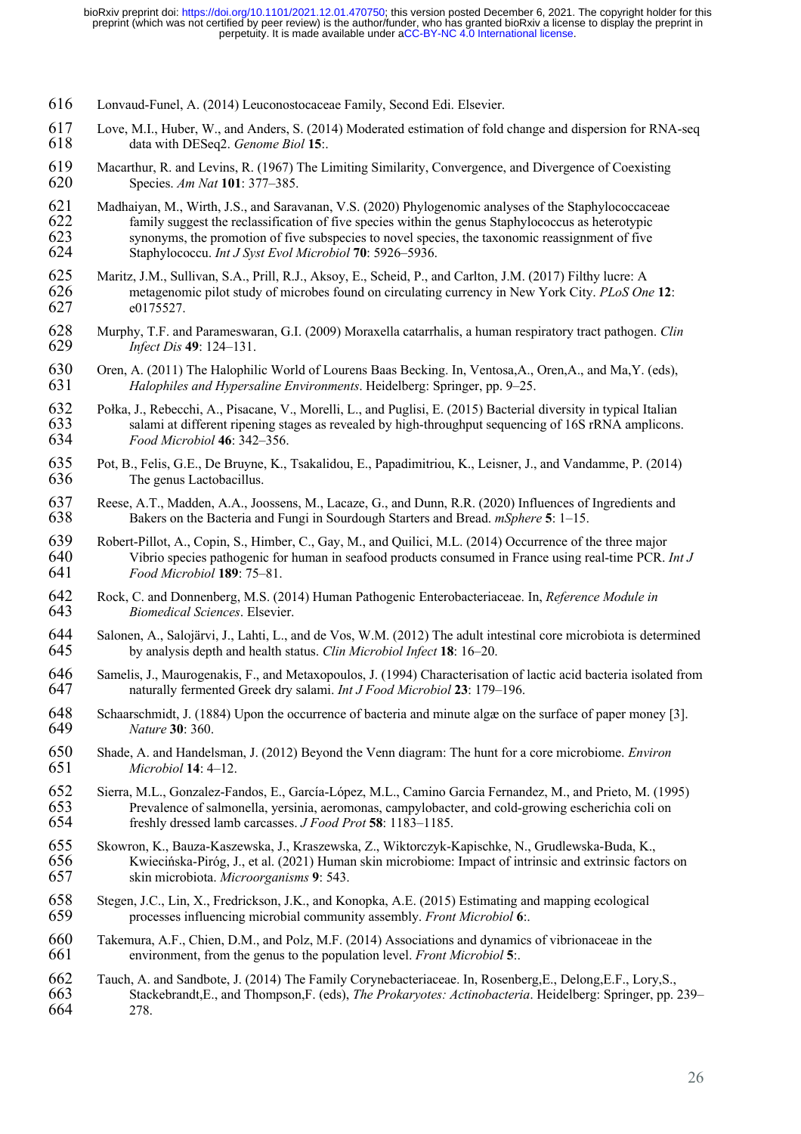- 616 Lonvaud-Funel, A. (2014) Leuconostocaceae Family, Second Edi. Elsevier.
- 617 Love, M.I., Huber, W., and Anders, S. (2014) Moderated estimation of fold change and dispersion for RNA-seq<br>618 data with DESeq2. Genome Biol 15: data with DESeq2. *Genome Biol* 15:.
- 619 Macarthur, R. and Levins, R. (1967) The Limiting Similarity, Convergence, and Divergence of Coexisting Species. Am Nat 101: 377–385. 620 Species. *Am Nat* **101**: 377–385.
- 621 Madhaiyan, M., Wirth, J.S., and Saravanan, V.S. (2020) Phylogenomic analyses of the Staphylococcaceae family suggest the reclassification of five species within the genus Staphylococcus as heterotypic 622 family suggest the reclassification of five species within the genus Staphylococcus as heterotypic<br>623 synonyms, the promotion of five subspecies to novel species, the taxonomic reassignment of five 623 synonyms, the promotion of five subspecies to novel species, the taxonomic reassignment of five 624 Staphylococcu. *Int J Syst Evol Microbiol* 70: 5926–5936. 624 Staphylococcu. *Int J Syst Evol Microbiol* **70**: 5926–5936.
- 625 Maritz, J.M., Sullivan, S.A., Prill, R.J., Aksoy, E., Scheid, P., and Carlton, J.M. (2017) Filthy lucre: A<br>626 metagenomic pilot study of microbes found on circulating currency in New York City. *PLoS On*<br>627 e0175527. 626 metagenomic pilot study of microbes found on circulating currency in New York City. *PLoS One* **12**: e0175527.
- 628 Murphy, T.F. and Parameswaran, G.I. (2009) Moraxella catarrhalis, a human respiratory tract pathogen. *Clin*  629 *Infect Dis* **49**: 124–131.
- 630 Oren, A. (2011) The Halophilic World of Lourens Baas Becking. In, Ventosa,A., Oren,A., and Ma,Y. (eds), 631 *Halophiles and Hypersaline Environments*. Heidelberg: Springer, pp. 9–25.
- 632 Połka, J., Rebecchi, A., Pisacane, V., Morelli, L., and Puglisi, E. (2015) Bacterial diversity in typical Italian salami at different ripening stages as revealed by high-throughput sequencing of 16S rRNA amplicons 633 salami at different ripening stages as revealed by high-throughput sequencing of 16S rRNA amplicons.<br>634 *Food Microbiol* 46: 342–356. 634 *Food Microbiol* **46**: 342–356.
- 635 Pot, B., Felis, G.E., De Bruyne, K., Tsakalidou, E., Papadimitriou, K., Leisner, J., and Vandamme, P. (2014) The genus Lactobacillus.
- 637 Reese, A.T., Madden, A.A., Joossens, M., Lacaze, G., and Dunn, R.R. (2020) Influences of Ingredients and 638 Bakers on the Bacteria and Fungi in Sourdough Starters and Bread. *mSphere* **5**: 1–15.
- 639 Robert-Pillot, A., Copin, S., Himber, C., Gay, M., and Quilici, M.L. (2014) Occurrence of the three major<br>640 Vibrio species pathogenic for human in seafood products consumed in France using real-time PCR. 640 Vibrio species pathogenic for human in seafood products consumed in France using real-time PCR. *Int J*  641 *Food Microbiol* **189**: 75–81.
- 642 Rock, C. and Donnenberg, M.S. (2014) Human Pathogenic Enterobacteriaceae. In, *Reference Module in*  643 *Biomedical Sciences*. Elsevier.
- 644 Salonen, A., Salojärvi, J., Lahti, L., and de Vos, W.M. (2012) The adult intestinal core microbiota is determined<br>645 by analysis depth and health status. Clin Microbiol Infect 18: 16–20. 645 by analysis depth and health status. *Clin Microbiol Infect* **18**: 16–20.
- 646 Samelis, J., Maurogenakis, F., and Metaxopoulos, J. (1994) Characterisation of lactic acid bacteria isolated from<br>647 naturally fermented Greek dry salami. *Int J Food Microbiol* 23: 179–196. 647 naturally fermented Greek dry salami. *Int J Food Microbiol* **23**: 179–196.
- 648 Schaarschmidt, J. (1884) Upon the occurrence of bacteria and minute algæ on the surface of paper money [3].<br>649 Nature 30: 360. 649 *Nature* **30**: 360.
- 650 Shade, A. and Handelsman, J. (2012) Beyond the Venn diagram: The hunt for a core microbiome. *Environ*  651 *Microbiol* **14**: 4–12.
- 652 Sierra, M.L., Gonzalez-Fandos, E., García-López, M.L., Camino Garcia Fernandez, M., and Prieto, M. (1995) 653 Prevalence of salmonella, yersinia, aeromonas, campylobacter, and cold-growing escherichia coli on 654 freshly dressed lamb carcasses. *J Food Prot* 58: 1183–1185. 654 freshly dressed lamb carcasses. *J Food Prot* **58**: 1183–1185.
- 655 Skowron, K., Bauza‐Kaszewska, J., Kraszewska, Z., Wiktorczyk‐Kapischke, N., Grudlewska‐Buda, K., 656 Kwiecińska-Piróg, J., et al. (2021) Human skin microbiome: Impact of intrinsic and extrinsic factors on skin microbiota. *Microorganisms* 9: 543. 657 skin microbiota. *Microorganisms* **9**: 543.
- 658 Stegen, J.C., Lin, X., Fredrickson, J.K., and Konopka, A.E. (2015) Estimating and mapping ecological processes influencing microbial community assembly. *Front Microbiol* 6: 659 processes influencing microbial community assembly. *Front Microbiol* **6**:.
- 660 Takemura, A.F., Chien, D.M., and Polz, M.F. (2014) Associations and dynamics of vibrionaceae in the 661 environment, from the genus to the population level. *Front Microbiol* **5**:.
- 662 Tauch, A. and Sandbote, J. (2014) The Family Corynebacteriaceae. In, Rosenberg, E., Delong, E.F., Lory, S., 663 Stackebrandt. E., and Thompson. F. (eds). The Prokarvotes: Actinobacteria. Heidelberg: Springer, pp. 663 Stackebrandt,E., and Thompson,F. (eds), *The Prokaryotes: Actinobacteria*. Heidelberg: Springer, pp. 239– 664 278.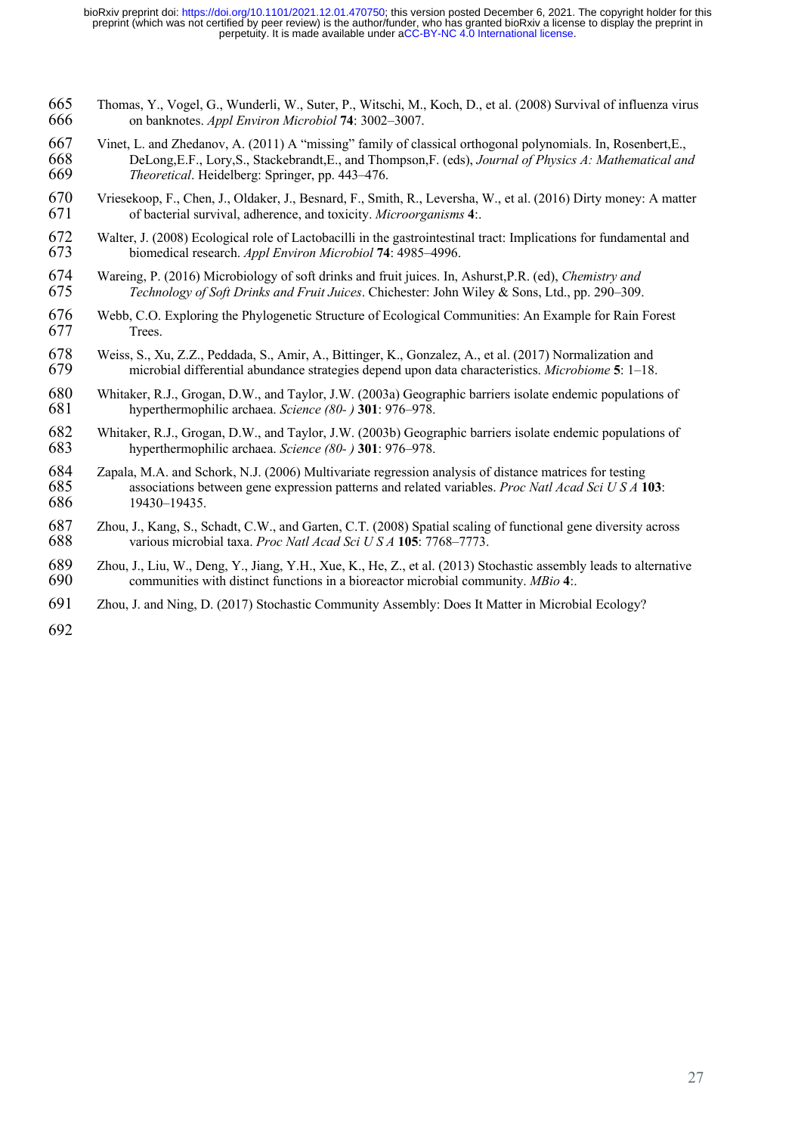- Thomas, Y., Vogel, G., Wunderli, W., Suter, P., Witschi, M., Koch, D., et al. (2008) Survival of influenza virus on banknotes. *Appl Environ Microbiol* **74**: 3002–3007.
- 667 Vinet, L. and Zhedanov, A. (2011) A "missing" family of classical orthogonal polynomials. In, Rosenbert, E., 668 DeLong, E.F., Lory, S., Stackebrandt, E., and Thompson, F. (eds), *Journal of Physics A: Mathematical an*  DeLong,E.F., Lory,S., Stackebrandt,E., and Thompson,F. (eds), *Journal of Physics A: Mathematical and Theoretical*. Heidelberg: Springer, pp. 443–476.
- 670 Vriesekoop, F., Chen, J., Oldaker, J., Besnard, F., Smith, R., Leversha, W., et al. (2016) Dirty money: A matter of bacterial survival, adherence, and toxicity. *Microorganisms* 4: of bacterial survival, adherence, and toxicity. *Microorganisms* **4**:.
- Walter, J. (2008) Ecological role of Lactobacilli in the gastrointestinal tract: Implications for fundamental and biomedical research. *Appl Environ Microbiol* **74**: 4985–4996.
- Wareing, P. (2016) Microbiology of soft drinks and fruit juices. In, Ashurst,P.R. (ed), *Chemistry and Technology of Soft Drinks and Fruit Juices*. Chichester: John Wiley & Sons, Ltd., pp. 290–309.
- Webb, C.O. Exploring the Phylogenetic Structure of Ecological Communities: An Example for Rain Forest Trees.
- 678 Weiss, S., Xu, Z.Z., Peddada, S., Amir, A., Bittinger, K., Gonzalez, A., et al. (2017) Normalization and<br>679 microbial differential abundance strategies depend upon data characteristics. *Microbiome* 5: 1–18. microbial differential abundance strategies depend upon data characteristics. *Microbiome* **5**: 1–18.
- 680 Whitaker, R.J., Grogan, D.W., and Taylor, J.W. (2003a) Geographic barriers isolate endemic populations of hyperthermophilic archaea. Science (80- ) 301: 976–978. hyperthermophilic archaea. *Science (80- )* **301**: 976–978.
- 682 Whitaker, R.J., Grogan, D.W., and Taylor, J.W. (2003b) Geographic barriers isolate endemic populations of hyperthermophilic archaea. Science (80-) 301: 976–978. hyperthermophilic archaea. *Science (80- )* **301**: 976–978.
- Zapala, M.A. and Schork, N.J. (2006) Multivariate regression analysis of distance matrices for testing associations between gene expression patterns and related variables. *Proc Natl Acad Sci U S A* **103**: 19430–19435.
- 687 Zhou, J., Kang, S., Schadt, C.W., and Garten, C.T. (2008) Spatial scaling of functional gene diversity across various microbial taxa. *Proc Natl Acad Sci U S A* **105**: 7768–7773. various microbial taxa. *Proc Natl Acad Sci U S A* **105**: 7768–7773.
- 689 Zhou, J., Liu, W., Deng, Y., Jiang, Y.H., Xue, K., He, Z., et al. (2013) Stochastic assembly leads to alternative communities with distinct functions in a bioreactor microbial community. MBio 4: communities with distinct functions in a bioreactor microbial community. *MBio* **4**:.
- Zhou, J. and Ning, D. (2017) Stochastic Community Assembly: Does It Matter in Microbial Ecology?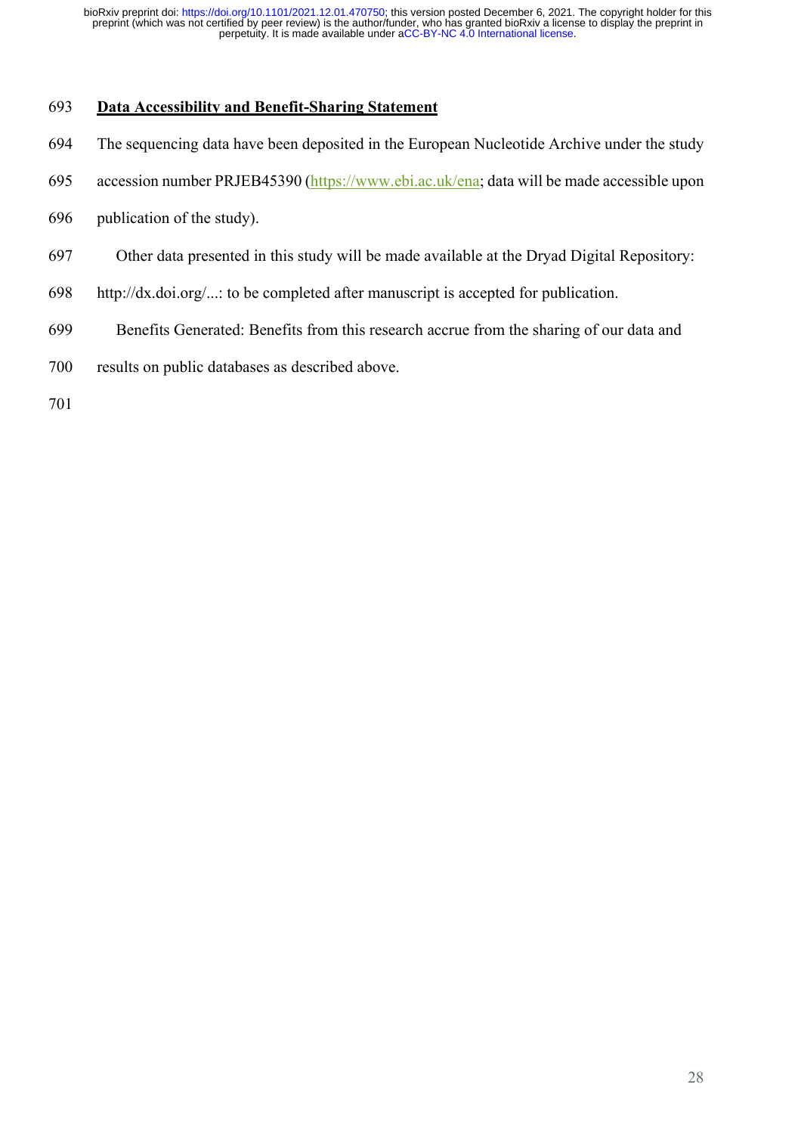## **Data Accessibility and Benefit-Sharing Statement**

- The sequencing data have been deposited in the European Nucleotide Archive under the study
- 695 accession number PRJEB45390 (https://www.ebi.ac.uk/ena; data will be made accessible upon
- publication of the study).
- Other data presented in this study will be made available at the Dryad Digital Repository:
- http://dx.doi.org/...: to be completed after manuscript is accepted for publication.
- Benefits Generated: Benefits from this research accrue from the sharing of our data and
- results on public databases as described above.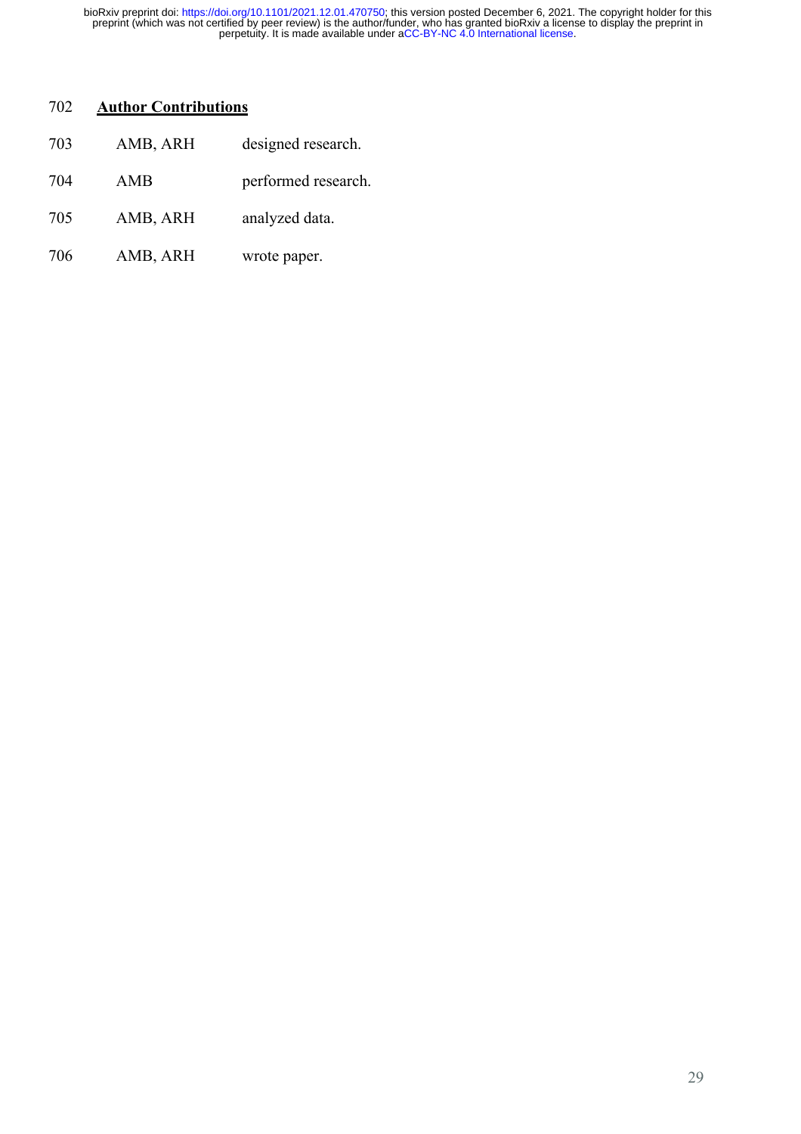### **Author Contributions**

| 703 | AMB, ARH | designed research.  |
|-----|----------|---------------------|
| 704 | AMB      | performed research. |
| 705 | AMB, ARH | analyzed data.      |
| 706 | AMB, ARH | wrote paper.        |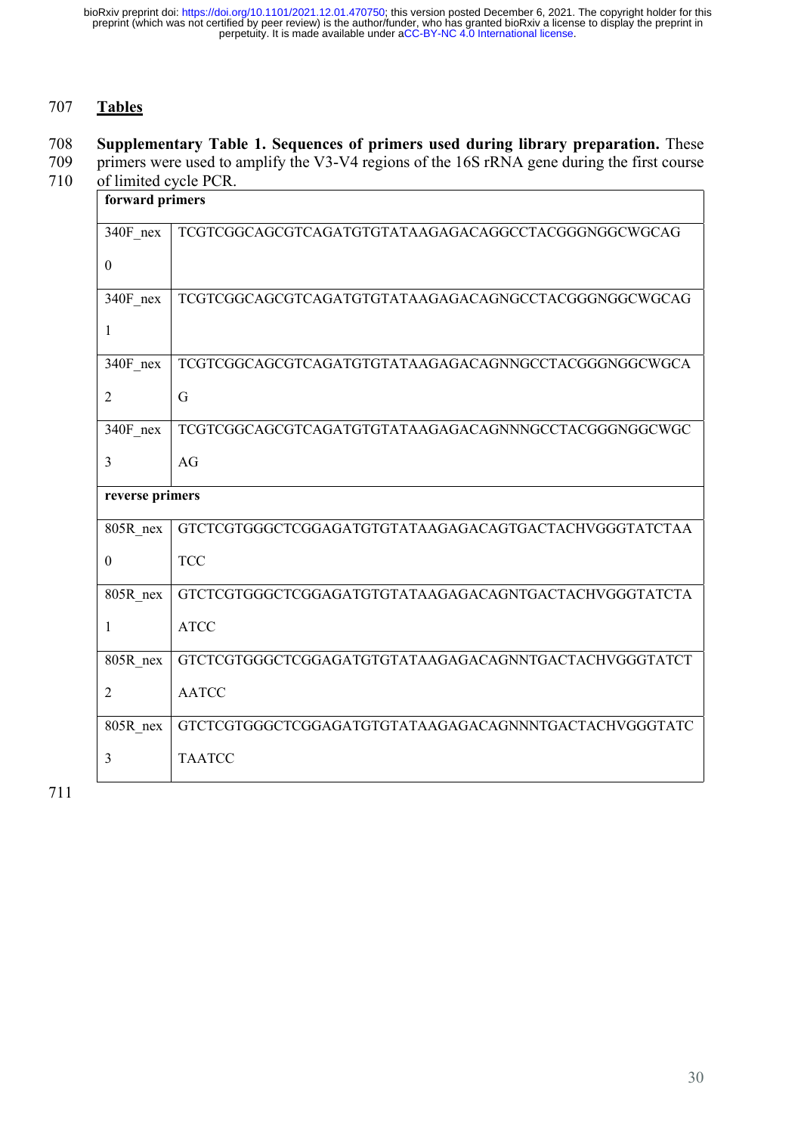# 707 **Tables**

# 708 **Supplementary Table 1. Sequences of primers used during library preparation.** These

709 primers were used to amplify the V3-V4 regions of the 16S rRNA gene during the first course 710 of limited cycle PCR.

| forward primers |  |
|-----------------|--|
|                 |  |

| $340F$ nex       | TCGTCGGCAGCGTCAGATGTGTATAAGAGACAGGCCTACGGGNGGCWGCAG   |  |
|------------------|-------------------------------------------------------|--|
| $\theta$         |                                                       |  |
| 340F nex         | TCGTCGGCAGCGTCAGATGTGTATAAGAGACAGNGCCTACGGGNGGCWGCAG  |  |
| 1                |                                                       |  |
| 340F nex         | TCGTCGGCAGCGTCAGATGTGTATAAGAGACAGNNGCCTACGGGNGGCWGCA  |  |
| $\overline{2}$   | G                                                     |  |
| 340F nex         | TCGTCGGCAGCGTCAGATGTGTATAAGAGACAGNNNGCCTACGGGNGGCWGC  |  |
| 3                | AG                                                    |  |
| reverse primers  |                                                       |  |
|                  |                                                       |  |
| 805R nex         | GTCTCGTGGGCTCGGAGATGTGTATAAGAGACAGTGACTACHVGGGTATCTAA |  |
| $\boldsymbol{0}$ | <b>TCC</b>                                            |  |
| 805R nex         | GTCTCGTGGGCTCGGAGATGTGTATAAGAGACAGNTGACTACHVGGGTATCTA |  |
| 1                | <b>ATCC</b>                                           |  |
| 805R nex         | GTCTCGTGGGCTCGGAGATGTGTATAAGAGACAGNNTGACTACHVGGGTATCT |  |
| $\overline{2}$   | <b>AATCC</b>                                          |  |
| 805R nex         | GTCTCGTGGGCTCGGAGATGTGTATAAGAGACAGNNNTGACTACHVGGGTATC |  |

711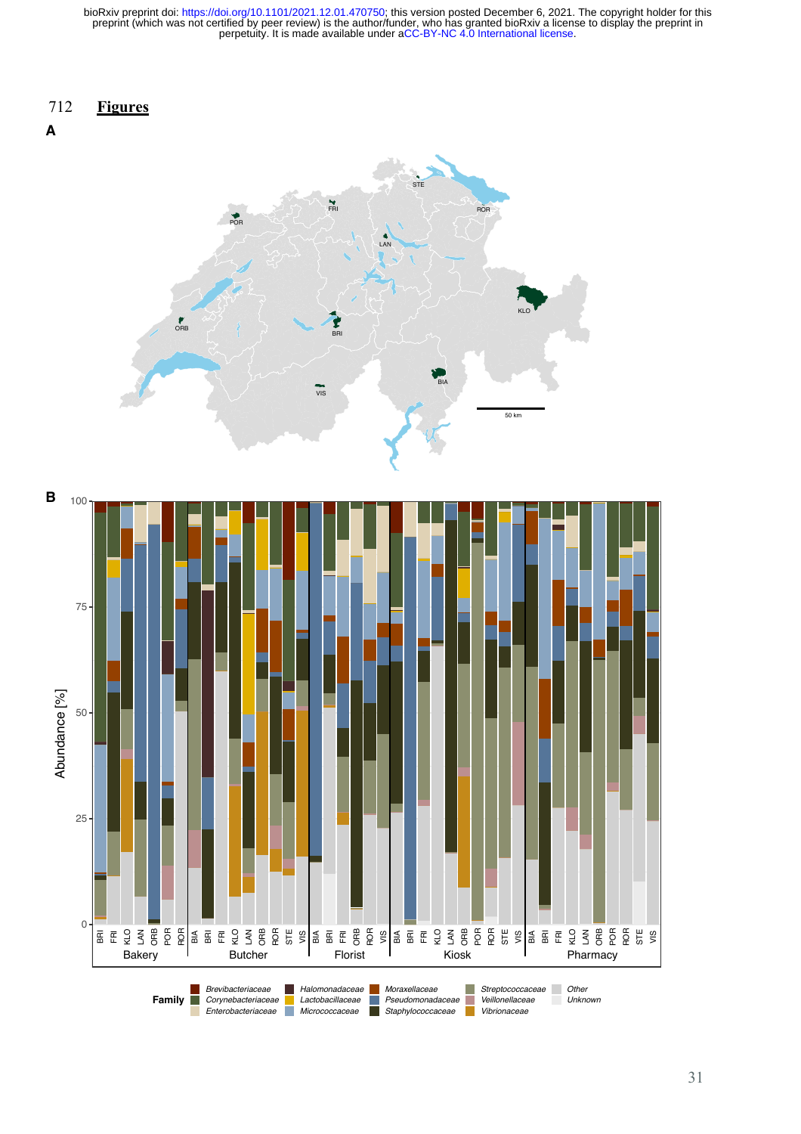### 712 **Figures**





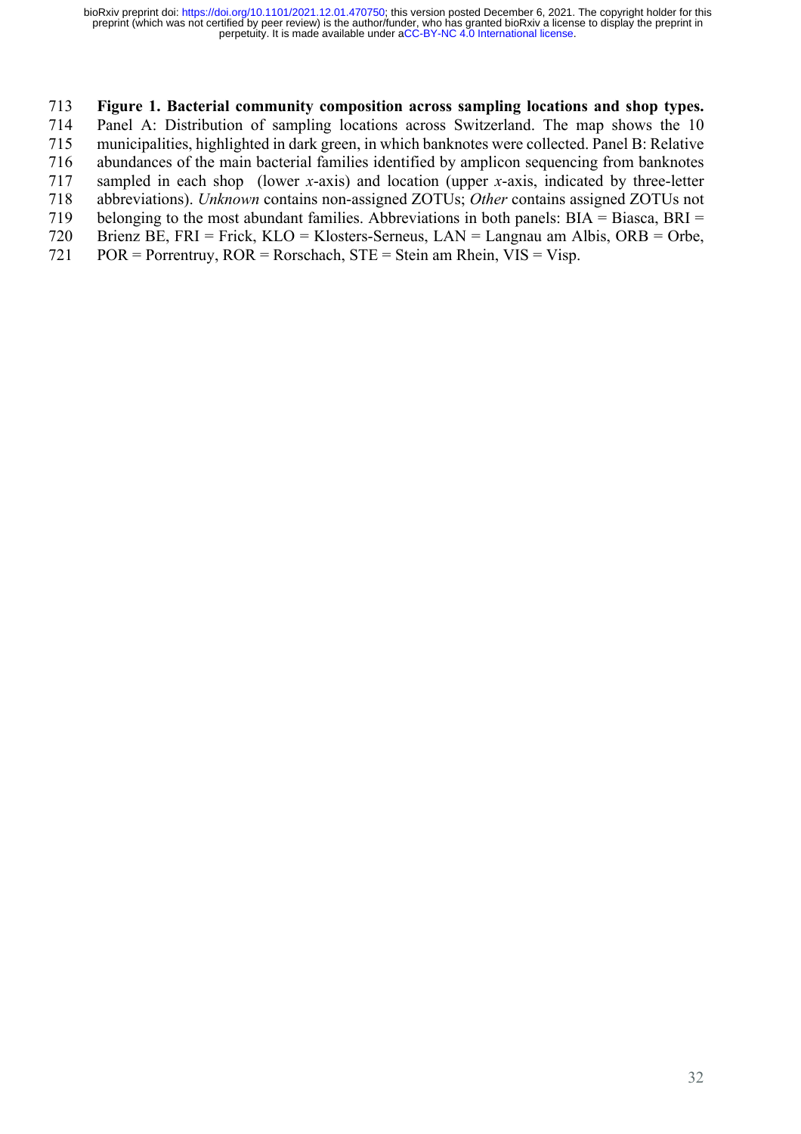### **Figure 1. Bacterial community composition across sampling locations and shop types.**

 Panel A: Distribution of sampling locations across Switzerland. The map shows the 10 municipalities, highlighted in dark green, in which banknotes were collected. Panel B: Relative

abundances of the main bacterial families identified by amplicon sequencing from banknotes

sampled in each shop (lower *x*-axis) and location (upper *x*-axis, indicated by three-letter

abbreviations). *Unknown* contains non-assigned ZOTUs; *Other* contains assigned ZOTUs not

belonging to the most abundant families. Abbreviations in both panels: BIA = Biasca, BRI =

- Brienz BE, FRI = Frick, KLO = Klosters-Serneus, LAN = Langnau am Albis, ORB = Orbe,
- 721 POR = Porrentruy,  $ROR = R$ orschach,  $STE = Stein$  am Rhein,  $VIS = Visp$ .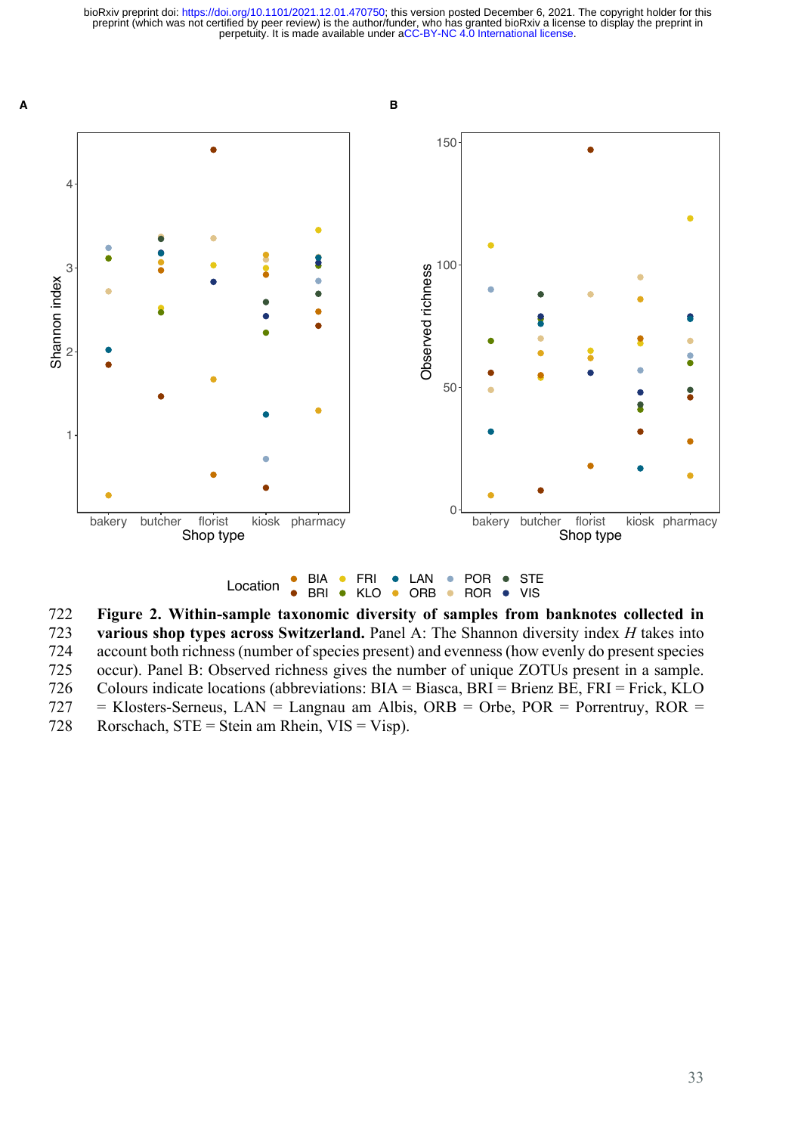

Location  $\frac{\bullet}{\bullet}$  BIA **BRI ●** KLO • ORB  $\bullet$ ROR  $\bullet$ VIS

722 **Figure 2. Within-sample taxonomic diversity of samples from banknotes collected in**  723 **various shop types across Switzerland.** Panel A: The Shannon diversity index *H* takes into 724 account both richness (number of species present) and evenness (how evenly do present species 725 occur). Panel B: Observed richness gives the number of unique ZOTUs present in a sample.

726 Colours indicate locations (abbreviations: BIA = Biasca, BRI = Brienz BE, FRI = Frick, KLO

- $727$  = Klosters-Serneus, LAN = Langnau am Albis, ORB = Orbe, POR = Porrentruy, ROR =
- 728 Rorschach,  $STE = Stein$  am Rhein,  $VIS = Visp$ .

**A**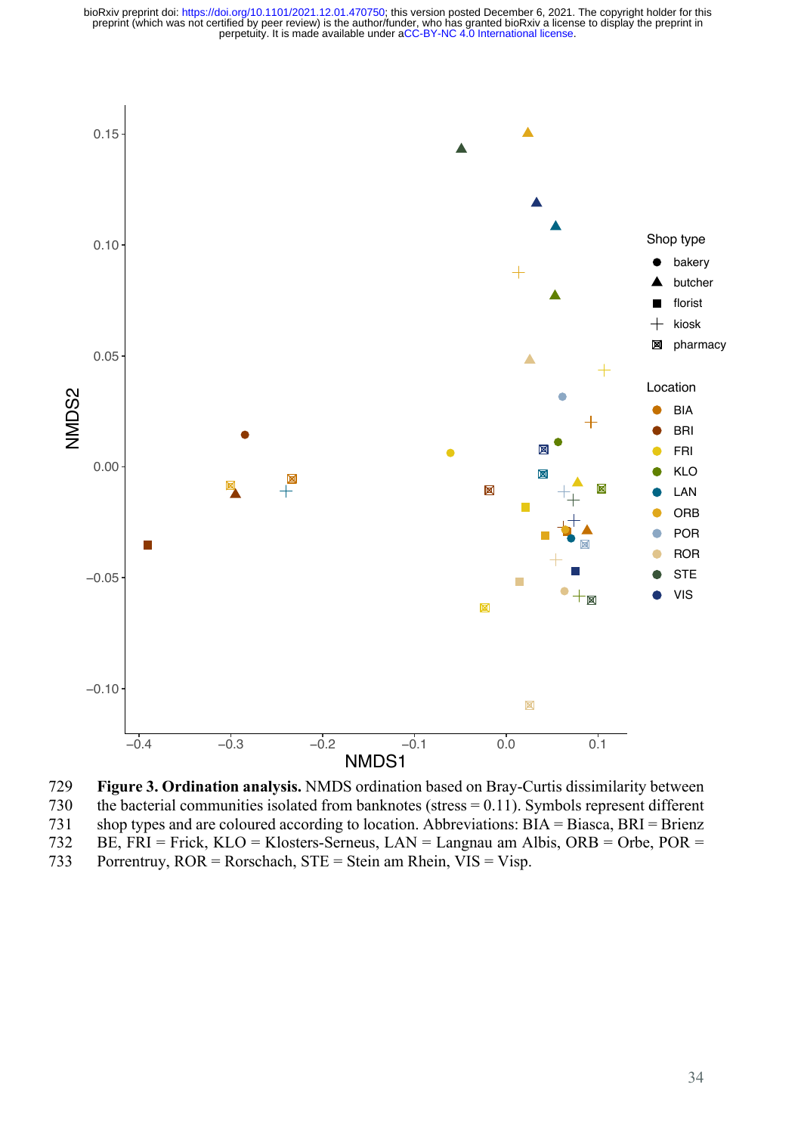

729 **Figure 3. Ordination analysis.** NMDS ordination based on Bray-Curtis dissimilarity between 730 the bacterial communities isolated from banknotes (stress = 0.11). Symbols represent different 731 shop types and are coloured according to location. Abbreviations: BIA = Biasca, BRI = Brienz 732 BE, FRI = Frick, KLO = Klosters-Serneus, LAN = Langnau am Albis, ORB = Orbe, POR = 733 Porrentruy, ROR = Rorschach, STE = Stein am Rhein, VIS = Visp.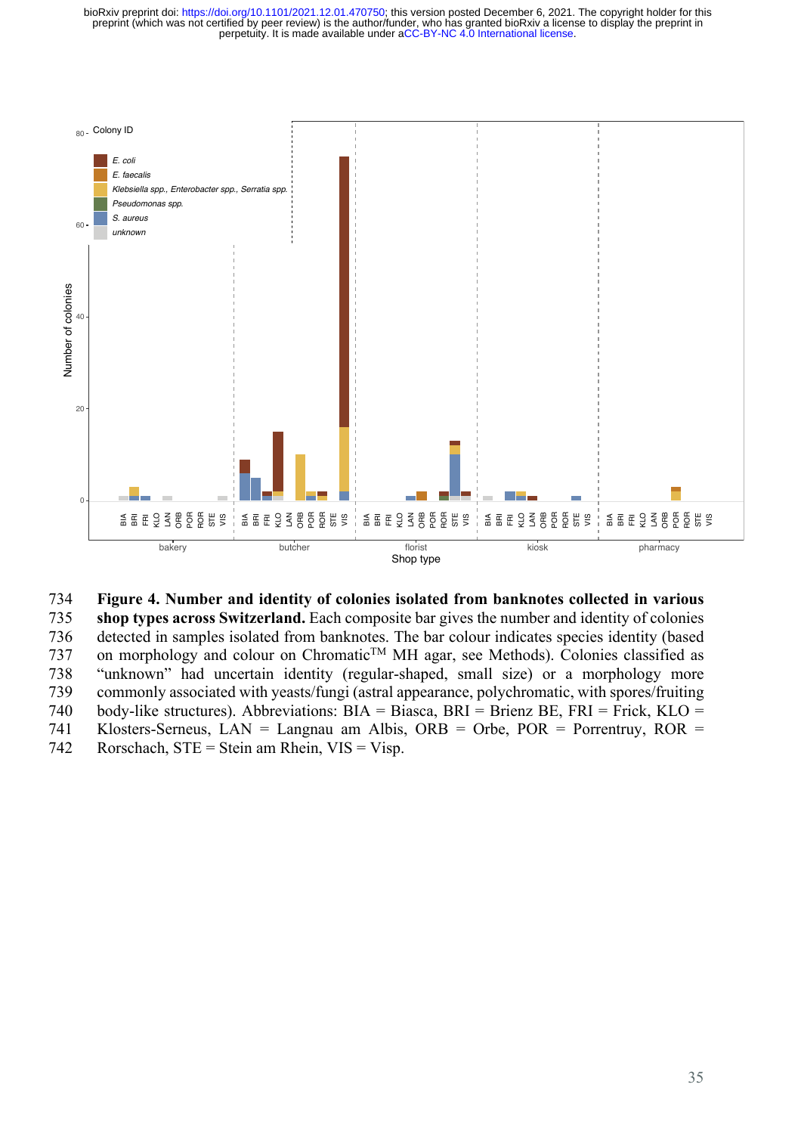

### 734 **Figure 4. Number and identity of colonies isolated from banknotes collected in various**

 **shop types across Switzerland.** Each composite bar gives the number and identity of colonies detected in samples isolated from banknotes. The bar colour indicates species identity (based 737 on morphology and colour on Chromatic<sup>TM</sup> MH agar, see Methods). Colonies classified as "unknown" had uncertain identity (regular-shaped, small size) or a morphology more commonly associated with yeasts/fungi (astral appearance, polychromatic, with spores/fruiting body-like structures). Abbreviations: BIA = Biasca, BRI = Brienz BE, FRI = Frick, KLO = Klosters-Serneus, LAN = Langnau am Albis, ORB = Orbe, POR = Porrentruy, ROR = **Example 12**<br>
Examples a Example 1 Steven and identity of colonies is<br> **Example 12**<br>
bakery<br>
bakery<br>
bakery<br>
bakery<br>
butcher<br>
Shop types across Switzerland. Each composit<br>
735<br>
detected in samples isolated from banknotes.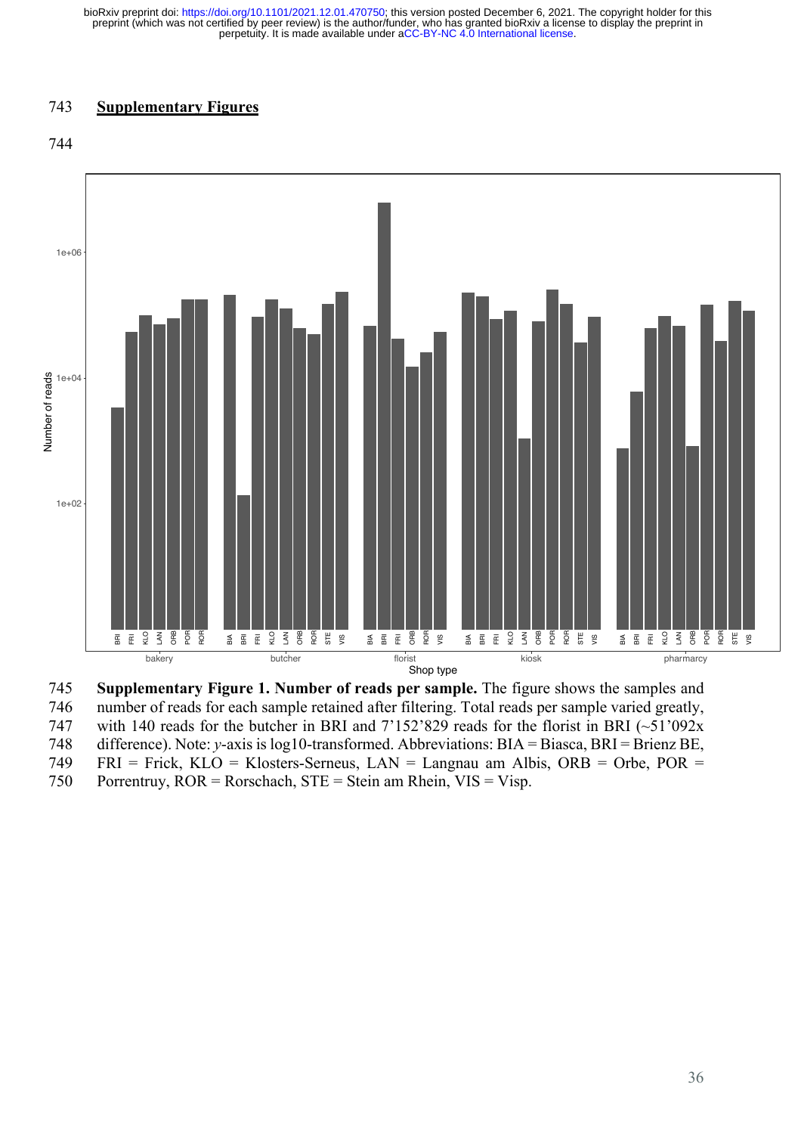### 743 **Supplementary Figures**





745 **Supplementary Figure 1. Number of reads per sample.** The figure shows the samples and 746 number of reads for each sample retained after filtering. Total reads per sample varied greatly, 747 with 140 reads for the butcher in BRI and  $7'152'829$  reads for the florist in BRI (~51'092x) 748 difference). Note: *y*-axis is log10-transformed. Abbreviations: BIA = Biasca, BRI = Brienz BE, 749 FRI = Frick, KLO = Klosters-Serneus, LAN = Langnau am Albis, ORB = Orbe, POR = **E**  $\frac{2}{3}$   $\frac{2}{5}$   $\frac{2}{5}$   $\frac{2}{5}$   $\frac{2}{5}$   $\frac{2}{5}$   $\frac{2}{5}$   $\frac{2}{5}$   $\frac{2}{5}$   $\frac{2}{5}$   $\frac{2}{5}$   $\frac{2}{5}$   $\frac{2}{5}$   $\frac{2}{5}$   $\frac{2}{5}$   $\frac{2}{5}$   $\frac{2}{5}$   $\frac{2}{5}$   $\frac{2}{5}$   $\frac{2}{5}$   $\frac{2}{5}$   $\frac{2}{5$